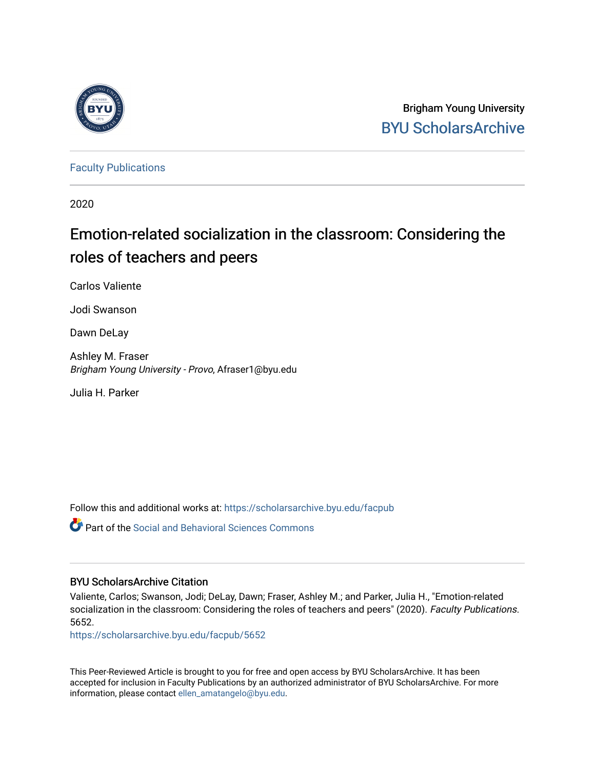

Brigham Young University [BYU ScholarsArchive](https://scholarsarchive.byu.edu/) 

[Faculty Publications](https://scholarsarchive.byu.edu/facpub)

2020

## Emotion-related socialization in the classroom: Considering the roles of teachers and peers

Carlos Valiente

Jodi Swanson

Dawn DeLay

Ashley M. Fraser Brigham Young University - Provo, Afraser1@byu.edu

Julia H. Parker

Follow this and additional works at: [https://scholarsarchive.byu.edu/facpub](https://scholarsarchive.byu.edu/facpub?utm_source=scholarsarchive.byu.edu%2Ffacpub%2F5652&utm_medium=PDF&utm_campaign=PDFCoverPages) 

Part of the [Social and Behavioral Sciences Commons](http://network.bepress.com/hgg/discipline/316?utm_source=scholarsarchive.byu.edu%2Ffacpub%2F5652&utm_medium=PDF&utm_campaign=PDFCoverPages) 

#### BYU ScholarsArchive Citation

Valiente, Carlos; Swanson, Jodi; DeLay, Dawn; Fraser, Ashley M.; and Parker, Julia H., "Emotion-related socialization in the classroom: Considering the roles of teachers and peers" (2020). Faculty Publications. 5652.

[https://scholarsarchive.byu.edu/facpub/5652](https://scholarsarchive.byu.edu/facpub/5652?utm_source=scholarsarchive.byu.edu%2Ffacpub%2F5652&utm_medium=PDF&utm_campaign=PDFCoverPages)

This Peer-Reviewed Article is brought to you for free and open access by BYU ScholarsArchive. It has been accepted for inclusion in Faculty Publications by an authorized administrator of BYU ScholarsArchive. For more information, please contact [ellen\\_amatangelo@byu.edu.](mailto:ellen_amatangelo@byu.edu)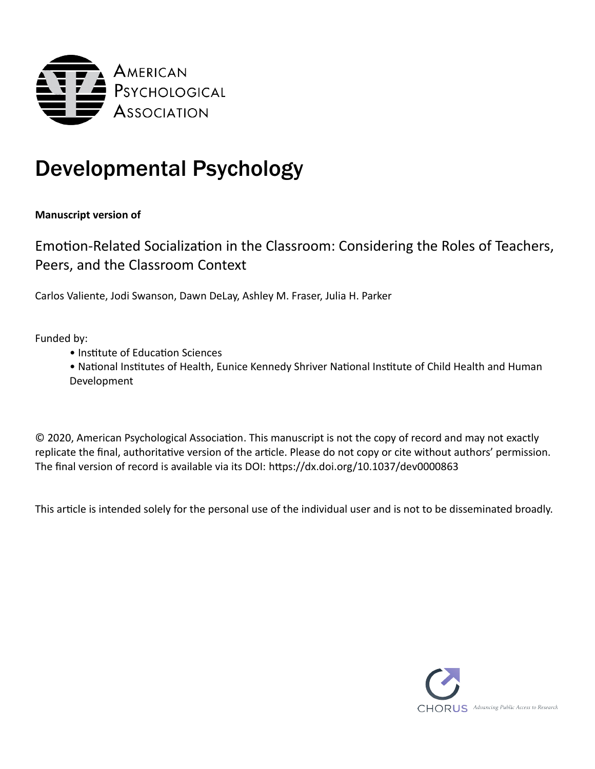

# Developmental Psychology

**Manuscript version of** 

## Emotion-Related Socialization in the Classroom: Considering the Roles of Teachers, Peers, and the Classroom Context

Carlos Valiente, Jodi Swanson, Dawn DeLay, Ashley M. Fraser, Julia H. Parker

Funded by:

- Institute of Education Sciences
- National Institutes of Health, Eunice Kennedy Shriver National Institute of Child Health and Human Development

© 2020, American Psychological Association. This manuscript is not the copy of record and may not exactly replicate the final, authoritative version of the article. Please do not copy or cite without authors' permission. The final version of record is available via its DOI: <https://dx.doi.org/10.1037/dev0000863>

This article is intended solely for the personal use of the individual user and is not to be disseminated broadly.

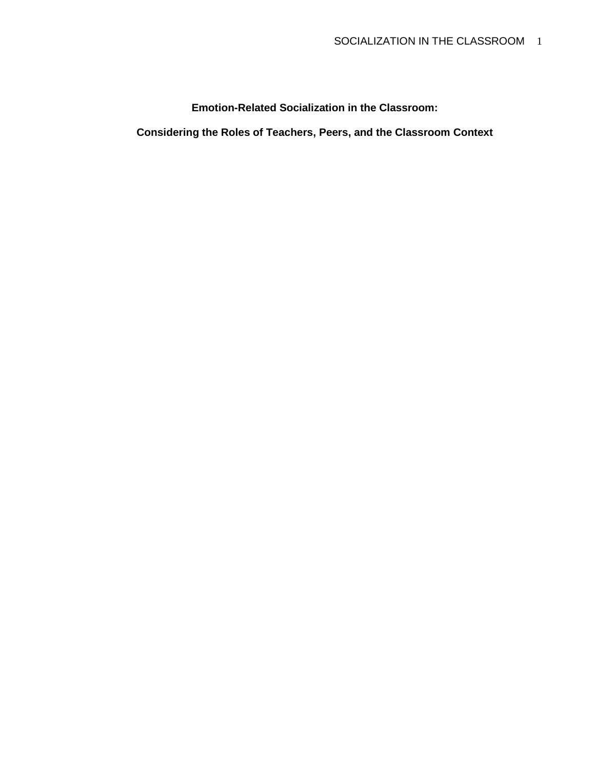**Emotion-Related Socialization in the Classroom:**

**Considering the Roles of Teachers, Peers, and the Classroom Context**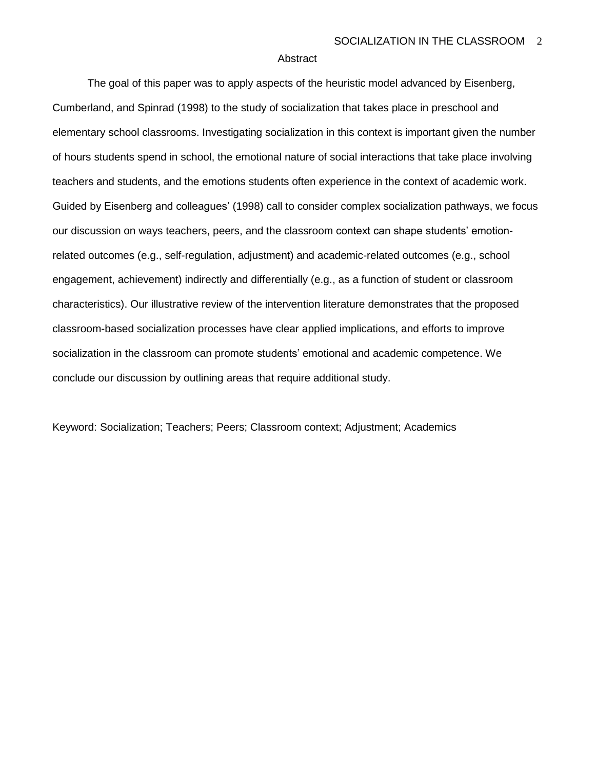#### Abstract

The goal of this paper was to apply aspects of the heuristic model advanced by Eisenberg, Cumberland, and Spinrad (1998) to the study of socialization that takes place in preschool and elementary school classrooms. Investigating socialization in this context is important given the number of hours students spend in school, the emotional nature of social interactions that take place involving teachers and students, and the emotions students often experience in the context of academic work. Guided by Eisenberg and colleagues' (1998) call to consider complex socialization pathways, we focus our discussion on ways teachers, peers, and the classroom context can shape students' emotionrelated outcomes (e.g., self-regulation, adjustment) and academic-related outcomes (e.g., school engagement, achievement) indirectly and differentially (e.g., as a function of student or classroom characteristics). Our illustrative review of the intervention literature demonstrates that the proposed classroom-based socialization processes have clear applied implications, and efforts to improve socialization in the classroom can promote students' emotional and academic competence. We conclude our discussion by outlining areas that require additional study.

Keyword: Socialization; Teachers; Peers; Classroom context; Adjustment; Academics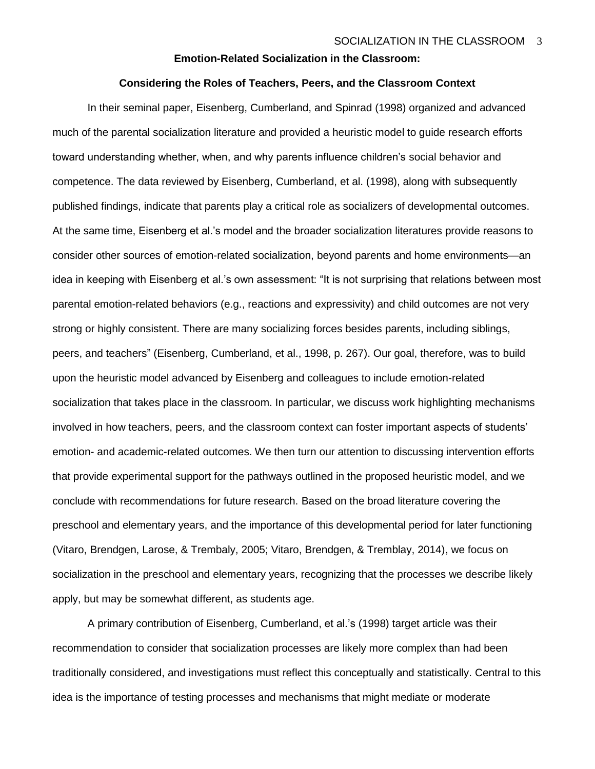#### **Emotion-Related Socialization in the Classroom:**

#### **Considering the Roles of Teachers, Peers, and the Classroom Context**

In their seminal paper, Eisenberg, Cumberland, and Spinrad (1998) organized and advanced much of the parental socialization literature and provided a heuristic model to guide research efforts toward understanding whether, when, and why parents influence children's social behavior and competence. The data reviewed by Eisenberg, Cumberland, et al. (1998), along with subsequently published findings, indicate that parents play a critical role as socializers of developmental outcomes. At the same time, Eisenberg et al.'s model and the broader socialization literatures provide reasons to consider other sources of emotion-related socialization, beyond parents and home environments—an idea in keeping with Eisenberg et al.'s own assessment: "It is not surprising that relations between most parental emotion-related behaviors (e.g., reactions and expressivity) and child outcomes are not very strong or highly consistent. There are many socializing forces besides parents, including siblings, peers, and teachers" (Eisenberg, Cumberland, et al., 1998, p. 267). Our goal, therefore, was to build upon the heuristic model advanced by Eisenberg and colleagues to include emotion-related socialization that takes place in the classroom. In particular, we discuss work highlighting mechanisms involved in how teachers, peers, and the classroom context can foster important aspects of students' emotion- and academic-related outcomes. We then turn our attention to discussing intervention efforts that provide experimental support for the pathways outlined in the proposed heuristic model, and we conclude with recommendations for future research. Based on the broad literature covering the preschool and elementary years, and the importance of this developmental period for later functioning (Vitaro, Brendgen, Larose, & Trembaly, 2005; Vitaro, Brendgen, & Tremblay, 2014), we focus on socialization in the preschool and elementary years, recognizing that the processes we describe likely apply, but may be somewhat different, as students age.

A primary contribution of Eisenberg, Cumberland, et al.'s (1998) target article was their recommendation to consider that socialization processes are likely more complex than had been traditionally considered, and investigations must reflect this conceptually and statistically. Central to this idea is the importance of testing processes and mechanisms that might mediate or moderate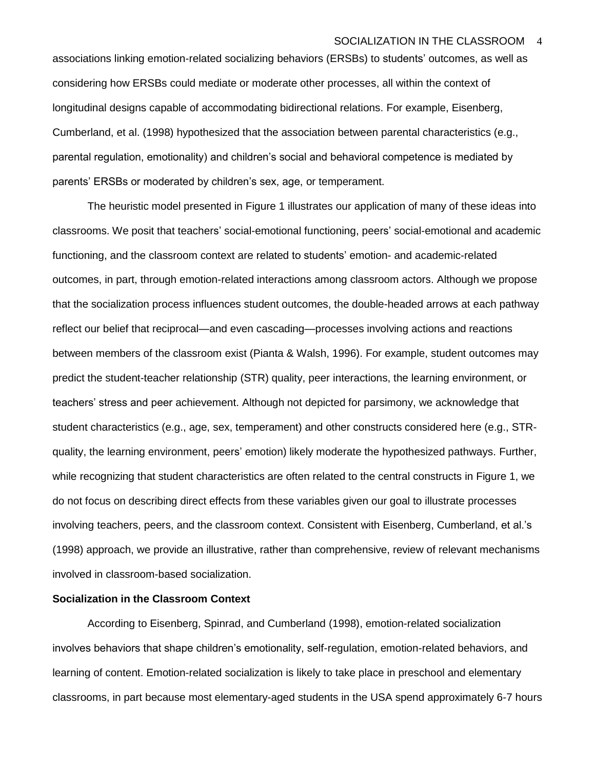associations linking emotion-related socializing behaviors (ERSBs) to students' outcomes, as well as considering how ERSBs could mediate or moderate other processes, all within the context of longitudinal designs capable of accommodating bidirectional relations. For example, Eisenberg, Cumberland, et al. (1998) hypothesized that the association between parental characteristics (e.g., parental regulation, emotionality) and children's social and behavioral competence is mediated by parents' ERSBs or moderated by children's sex, age, or temperament.

The heuristic model presented in Figure 1 illustrates our application of many of these ideas into classrooms. We posit that teachers' social-emotional functioning, peers' social-emotional and academic functioning, and the classroom context are related to students' emotion- and academic-related outcomes, in part, through emotion-related interactions among classroom actors. Although we propose that the socialization process influences student outcomes, the double-headed arrows at each pathway reflect our belief that reciprocal—and even cascading—processes involving actions and reactions between members of the classroom exist (Pianta & Walsh, 1996). For example, student outcomes may predict the student-teacher relationship (STR) quality, peer interactions, the learning environment, or teachers' stress and peer achievement. Although not depicted for parsimony, we acknowledge that student characteristics (e.g., age, sex, temperament) and other constructs considered here (e.g., STRquality, the learning environment, peers' emotion) likely moderate the hypothesized pathways. Further, while recognizing that student characteristics are often related to the central constructs in Figure 1, we do not focus on describing direct effects from these variables given our goal to illustrate processes involving teachers, peers, and the classroom context. Consistent with Eisenberg, Cumberland, et al.'s (1998) approach, we provide an illustrative, rather than comprehensive, review of relevant mechanisms involved in classroom-based socialization.

#### **Socialization in the Classroom Context**

According to Eisenberg, Spinrad, and Cumberland (1998), emotion-related socialization involves behaviors that shape children's emotionality, self-regulation, emotion-related behaviors, and learning of content. Emotion-related socialization is likely to take place in preschool and elementary classrooms, in part because most elementary-aged students in the USA spend approximately 6-7 hours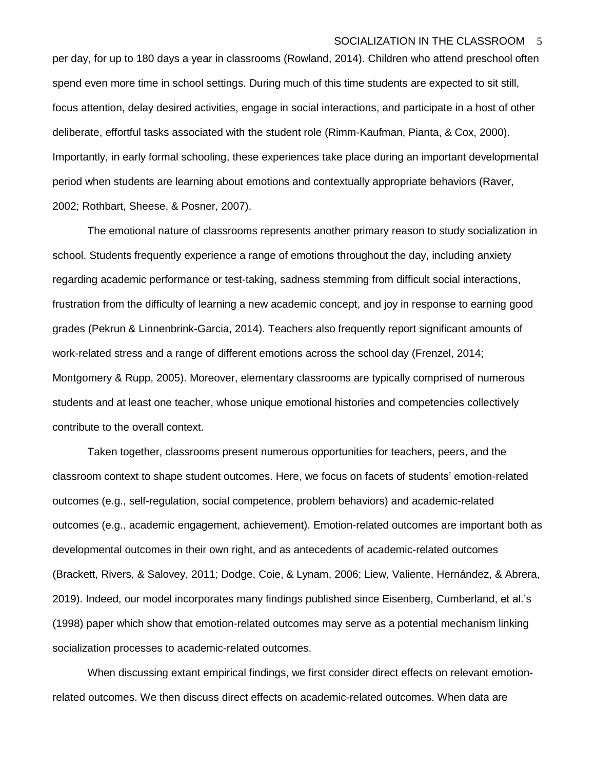per day, for up to 180 days a year in classrooms (Rowland, 2014). Children who attend preschool often spend even more time in school settings. During much of this time students are expected to sit still, focus attention, delay desired activities, engage in social interactions, and participate in a host of other deliberate, effortful tasks associated with the student role (Rimm-Kaufman, Pianta, & Cox, 2000). Importantly, in early formal schooling, these experiences take place during an important developmental period when students are learning about emotions and contextually appropriate behaviors (Raver, 2002; Rothbart, Sheese, & Posner, 2007).

The emotional nature of classrooms represents another primary reason to study socialization in school. Students frequently experience a range of emotions throughout the day, including anxiety regarding academic performance or test-taking, sadness stemming from difficult social interactions, frustration from the difficulty of learning a new academic concept, and joy in response to earning good grades (Pekrun & Linnenbrink-Garcia, 2014). Teachers also frequently report significant amounts of work-related stress and a range of different emotions across the school day (Frenzel, 2014; Montgomery & Rupp, 2005). Moreover, elementary classrooms are typically comprised of numerous students and at least one teacher, whose unique emotional histories and competencies collectively contribute to the overall context.

Taken together, classrooms present numerous opportunities for teachers, peers, and the classroom context to shape student outcomes. Here, we focus on facets of students' emotion-related outcomes (e.g., self-regulation, social competence, problem behaviors) and academic-related outcomes (e.g., academic engagement, achievement). Emotion-related outcomes are important both as developmental outcomes in their own right, and as antecedents of academic-related outcomes (Brackett, Rivers, & Salovey, 2011; Dodge, Coie, & Lynam, 2006; Liew, Valiente, Hernández, & Abrera, 2019). Indeed, our model incorporates many findings published since Eisenberg, Cumberland, et al.'s (1998) paper which show that emotion-related outcomes may serve as a potential mechanism linking socialization processes to academic-related outcomes.

When discussing extant empirical findings, we first consider direct effects on relevant emotionrelated outcomes. We then discuss direct effects on academic-related outcomes. When data are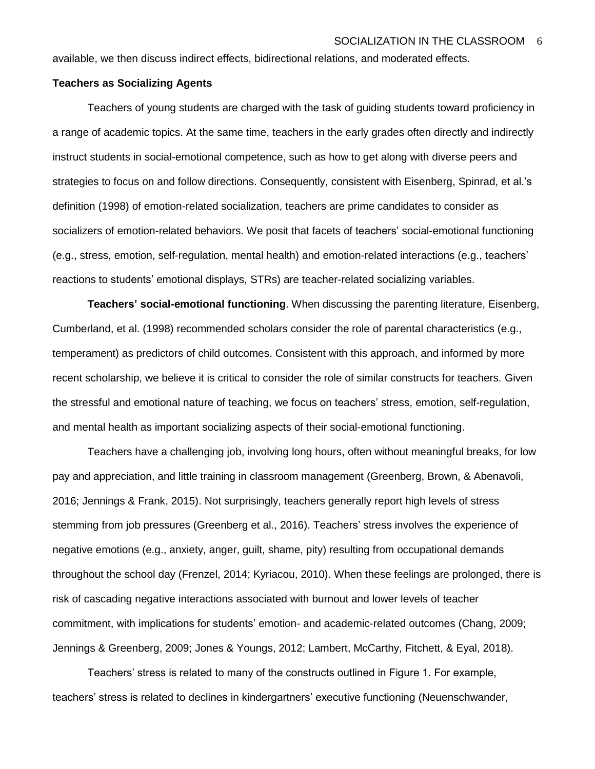available, we then discuss indirect effects, bidirectional relations, and moderated effects.

#### **Teachers as Socializing Agents**

Teachers of young students are charged with the task of guiding students toward proficiency in a range of academic topics. At the same time, teachers in the early grades often directly and indirectly instruct students in social-emotional competence, such as how to get along with diverse peers and strategies to focus on and follow directions. Consequently, consistent with Eisenberg, Spinrad, et al.'s definition (1998) of emotion-related socialization, teachers are prime candidates to consider as socializers of emotion-related behaviors. We posit that facets of teachers' social-emotional functioning (e.g., stress, emotion, self-regulation, mental health) and emotion-related interactions (e.g., teachers' reactions to students' emotional displays, STRs) are teacher-related socializing variables.

**Teachers' social-emotional functioning**. When discussing the parenting literature, Eisenberg, Cumberland, et al. (1998) recommended scholars consider the role of parental characteristics (e.g., temperament) as predictors of child outcomes. Consistent with this approach, and informed by more recent scholarship, we believe it is critical to consider the role of similar constructs for teachers. Given the stressful and emotional nature of teaching, we focus on teachers' stress, emotion, self-regulation, and mental health as important socializing aspects of their social-emotional functioning.

Teachers have a challenging job, involving long hours, often without meaningful breaks, for low pay and appreciation, and little training in classroom management (Greenberg, Brown, & Abenavoli, 2016; Jennings & Frank, 2015). Not surprisingly, teachers generally report high levels of stress stemming from job pressures (Greenberg et al., 2016). Teachers' stress involves the experience of negative emotions (e.g., anxiety, anger, guilt, shame, pity) resulting from occupational demands throughout the school day (Frenzel, 2014; Kyriacou, 2010). When these feelings are prolonged, there is risk of cascading negative interactions associated with burnout and lower levels of teacher commitment, with implications for students' emotion- and academic-related outcomes (Chang, 2009; Jennings & Greenberg, 2009; Jones & Youngs, 2012; Lambert, McCarthy, Fitchett, & Eyal, 2018).

Teachers' stress is related to many of the constructs outlined in Figure 1. For example, teachers' stress is related to declines in kindergartners' executive functioning (Neuenschwander,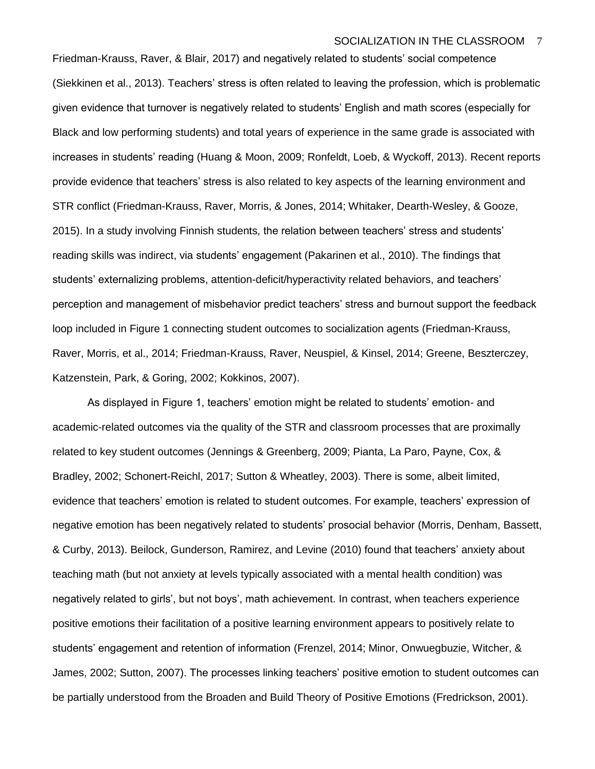Friedman-Krauss, Raver, & Blair, 2017) and negatively related to students' social competence (Siekkinen et al., 2013). Teachers' stress is often related to leaving the profession, which is problematic given evidence that turnover is negatively related to students' English and math scores (especially for Black and low performing students) and total years of experience in the same grade is associated with increases in students' reading (Huang & Moon, 2009; Ronfeldt, Loeb, & Wyckoff, 2013). Recent reports provide evidence that teachers' stress is also related to key aspects of the learning environment and STR conflict (Friedman-Krauss, Raver, Morris, & Jones, 2014; Whitaker, Dearth-Wesley, & Gooze, 2015). In a study involving Finnish students, the relation between teachers' stress and students' reading skills was indirect, via students' engagement (Pakarinen et al., 2010). The findings that students' externalizing problems, attention-deficit/hyperactivity related behaviors, and teachers' perception and management of misbehavior predict teachers' stress and burnout support the feedback loop included in Figure 1 connecting student outcomes to socialization agents (Friedman-Krauss, Raver, Morris, et al., 2014; Friedman-Krauss, Raver, Neuspiel, & Kinsel, 2014; Greene, Beszterczey, Katzenstein, Park, & Goring, 2002; Kokkinos, 2007).

As displayed in Figure 1, teachers' emotion might be related to students' emotion- and academic-related outcomes via the quality of the STR and classroom processes that are proximally related to key student outcomes (Jennings & Greenberg, 2009; Pianta, La Paro, Payne, Cox, & Bradley, 2002; Schonert-Reichl, 2017; Sutton & Wheatley, 2003). There is some, albeit limited, evidence that teachers' emotion is related to student outcomes. For example, teachers' expression of negative emotion has been negatively related to students' prosocial behavior (Morris, Denham, Bassett, & Curby, 2013). Beilock, Gunderson, Ramirez, and Levine (2010) found that teachers' anxiety about teaching math (but not anxiety at levels typically associated with a mental health condition) was negatively related to girls', but not boys', math achievement. In contrast, when teachers experience positive emotions their facilitation of a positive learning environment appears to positively relate to students' engagement and retention of information (Frenzel, 2014; Minor, Onwuegbuzie, Witcher, & James, 2002; Sutton, 2007). The processes linking teachers' positive emotion to student outcomes can be partially understood from the Broaden and Build Theory of Positive Emotions (Fredrickson, 2001).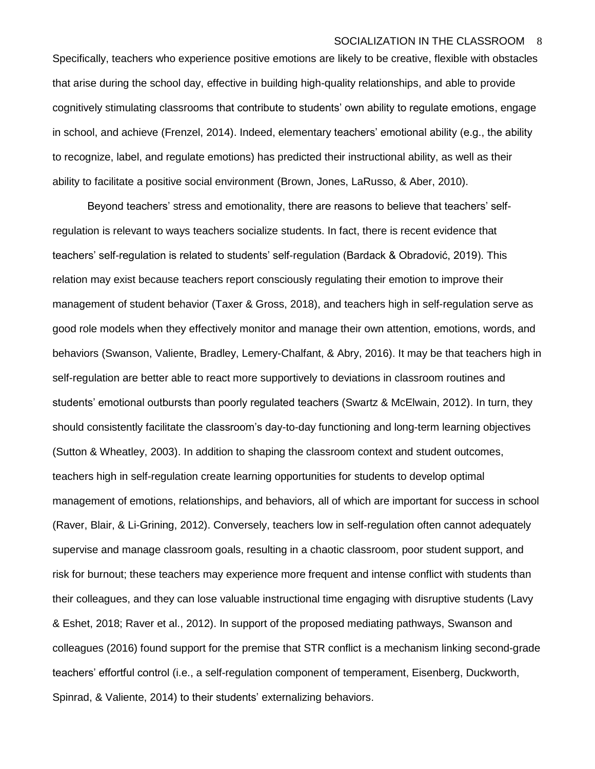Specifically, teachers who experience positive emotions are likely to be creative, flexible with obstacles that arise during the school day, effective in building high-quality relationships, and able to provide cognitively stimulating classrooms that contribute to students' own ability to regulate emotions, engage in school, and achieve (Frenzel, 2014). Indeed, elementary teachers' emotional ability (e.g., the ability to recognize, label, and regulate emotions) has predicted their instructional ability, as well as their ability to facilitate a positive social environment (Brown, Jones, LaRusso, & Aber, 2010).

Beyond teachers' stress and emotionality, there are reasons to believe that teachers' selfregulation is relevant to ways teachers socialize students. In fact, there is recent evidence that teachers' self-regulation is related to students' self-regulation (Bardack & Obradović, 2019). This relation may exist because teachers report consciously regulating their emotion to improve their management of student behavior (Taxer & Gross, 2018), and teachers high in self-regulation serve as good role models when they effectively monitor and manage their own attention, emotions, words, and behaviors (Swanson, Valiente, Bradley, Lemery-Chalfant, & Abry, 2016). It may be that teachers high in self-regulation are better able to react more supportively to deviations in classroom routines and students' emotional outbursts than poorly regulated teachers (Swartz & McElwain, 2012). In turn, they should consistently facilitate the classroom's day-to-day functioning and long-term learning objectives (Sutton & Wheatley, 2003). In addition to shaping the classroom context and student outcomes, teachers high in self-regulation create learning opportunities for students to develop optimal management of emotions, relationships, and behaviors, all of which are important for success in school (Raver, Blair, & Li-Grining, 2012). Conversely, teachers low in self-regulation often cannot adequately supervise and manage classroom goals, resulting in a chaotic classroom, poor student support, and risk for burnout; these teachers may experience more frequent and intense conflict with students than their colleagues, and they can lose valuable instructional time engaging with disruptive students (Lavy & Eshet, 2018; Raver et al., 2012). In support of the proposed mediating pathways, Swanson and colleagues (2016) found support for the premise that STR conflict is a mechanism linking second-grade teachers' effortful control (i.e., a self-regulation component of temperament, Eisenberg, Duckworth, Spinrad, & Valiente, 2014) to their students' externalizing behaviors.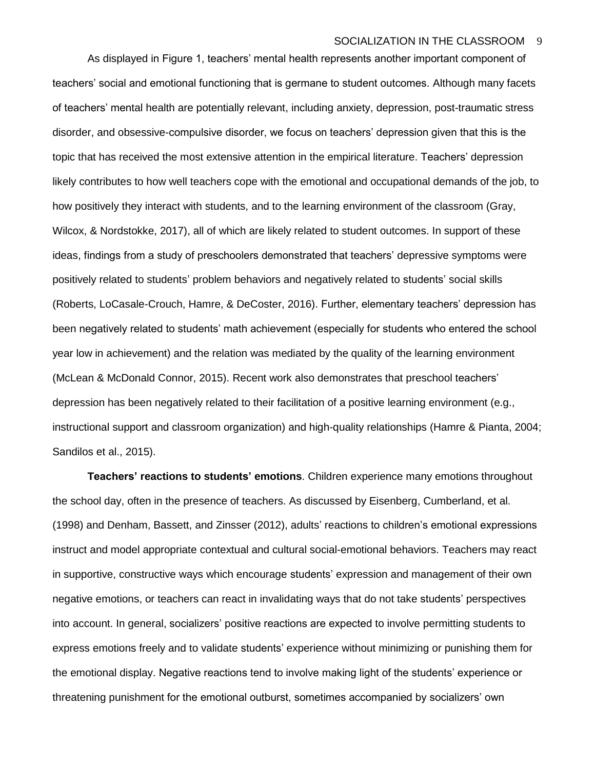As displayed in Figure 1, teachers' mental health represents another important component of teachers' social and emotional functioning that is germane to student outcomes. Although many facets of teachers' mental health are potentially relevant, including anxiety, depression, post-traumatic stress disorder, and obsessive-compulsive disorder, we focus on teachers' depression given that this is the topic that has received the most extensive attention in the empirical literature. Teachers' depression likely contributes to how well teachers cope with the emotional and occupational demands of the job, to how positively they interact with students, and to the learning environment of the classroom (Gray, Wilcox, & Nordstokke, 2017), all of which are likely related to student outcomes. In support of these ideas, findings from a study of preschoolers demonstrated that teachers' depressive symptoms were positively related to students' problem behaviors and negatively related to students' social skills (Roberts, LoCasale-Crouch, Hamre, & DeCoster, 2016). Further, elementary teachers' depression has been negatively related to students' math achievement (especially for students who entered the school year low in achievement) and the relation was mediated by the quality of the learning environment (McLean & McDonald Connor, 2015). Recent work also demonstrates that preschool teachers' depression has been negatively related to their facilitation of a positive learning environment (e.g., instructional support and classroom organization) and high-quality relationships (Hamre & Pianta, 2004; Sandilos et al., 2015).

**Teachers' reactions to students' emotions**. Children experience many emotions throughout the school day, often in the presence of teachers. As discussed by Eisenberg, Cumberland, et al. (1998) and Denham, Bassett, and Zinsser (2012), adults' reactions to children's emotional expressions instruct and model appropriate contextual and cultural social-emotional behaviors. Teachers may react in supportive, constructive ways which encourage students' expression and management of their own negative emotions, or teachers can react in invalidating ways that do not take students' perspectives into account. In general, socializers' positive reactions are expected to involve permitting students to express emotions freely and to validate students' experience without minimizing or punishing them for the emotional display. Negative reactions tend to involve making light of the students' experience or threatening punishment for the emotional outburst, sometimes accompanied by socializers' own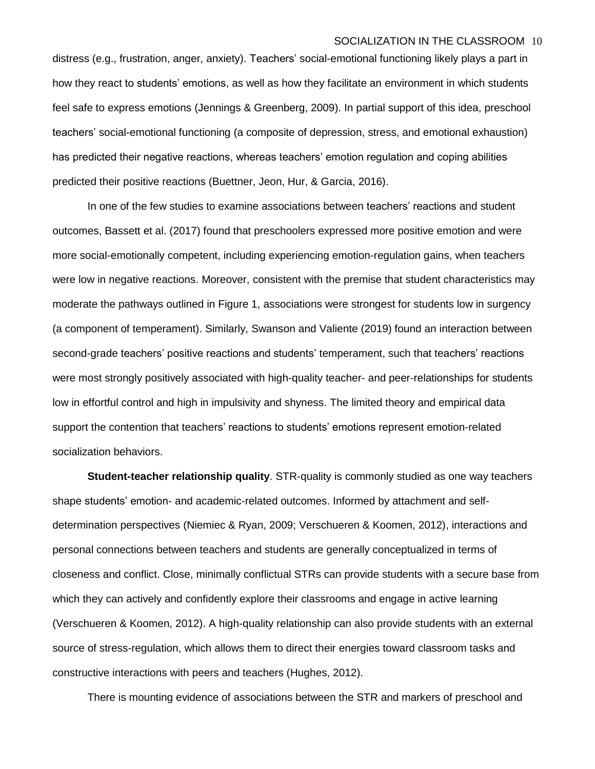distress (e.g., frustration, anger, anxiety). Teachers' social-emotional functioning likely plays a part in how they react to students' emotions, as well as how they facilitate an environment in which students feel safe to express emotions (Jennings & Greenberg, 2009). In partial support of this idea, preschool teachers' social-emotional functioning (a composite of depression, stress, and emotional exhaustion) has predicted their negative reactions, whereas teachers' emotion regulation and coping abilities predicted their positive reactions (Buettner, Jeon, Hur, & Garcia, 2016).

In one of the few studies to examine associations between teachers' reactions and student outcomes, Bassett et al. (2017) found that preschoolers expressed more positive emotion and were more social-emotionally competent, including experiencing emotion-regulation gains, when teachers were low in negative reactions. Moreover, consistent with the premise that student characteristics may moderate the pathways outlined in Figure 1, associations were strongest for students low in surgency (a component of temperament). Similarly, Swanson and Valiente (2019) found an interaction between second-grade teachers' positive reactions and students' temperament, such that teachers' reactions were most strongly positively associated with high-quality teacher- and peer-relationships for students low in effortful control and high in impulsivity and shyness. The limited theory and empirical data support the contention that teachers' reactions to students' emotions represent emotion-related socialization behaviors.

**Student-teacher relationship quality**. STR-quality is commonly studied as one way teachers shape students' emotion- and academic-related outcomes. Informed by attachment and selfdetermination perspectives (Niemiec & Ryan, 2009; Verschueren & Koomen, 2012), interactions and personal connections between teachers and students are generally conceptualized in terms of closeness and conflict. Close, minimally conflictual STRs can provide students with a secure base from which they can actively and confidently explore their classrooms and engage in active learning (Verschueren & Koomen, 2012). A high-quality relationship can also provide students with an external source of stress-regulation, which allows them to direct their energies toward classroom tasks and constructive interactions with peers and teachers (Hughes, 2012).

There is mounting evidence of associations between the STR and markers of preschool and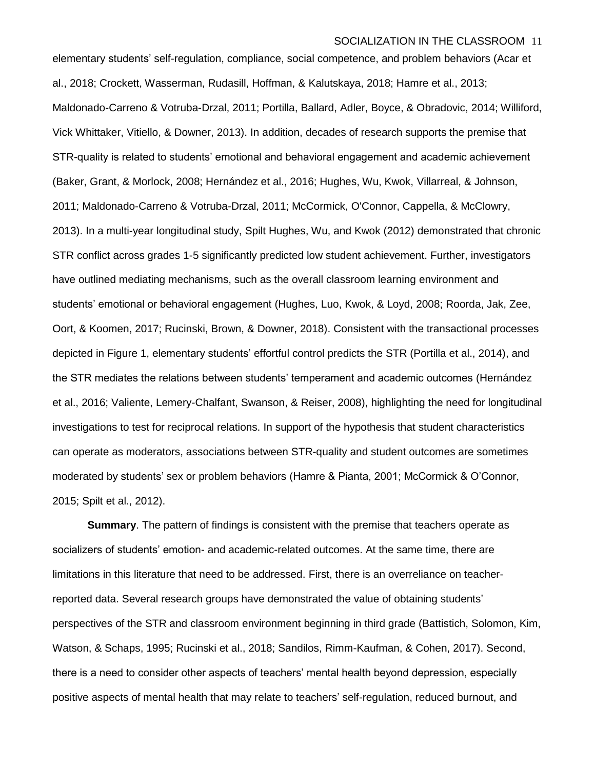elementary students' self-regulation, compliance, social competence, and problem behaviors (Acar et al., 2018; Crockett, Wasserman, Rudasill, Hoffman, & Kalutskaya, 2018; Hamre et al., 2013; Maldonado-Carreno & Votruba-Drzal, 2011; Portilla, Ballard, Adler, Boyce, & Obradovic, 2014; Williford, Vick Whittaker, Vitiello, & Downer, 2013). In addition, decades of research supports the premise that STR-quality is related to students' emotional and behavioral engagement and academic achievement (Baker, Grant, & Morlock, 2008; Hernández et al., 2016; Hughes, Wu, Kwok, Villarreal, & Johnson, 2011; Maldonado-Carreno & Votruba-Drzal, 2011; McCormick, O'Connor, Cappella, & McClowry, 2013). In a multi-year longitudinal study, Spilt Hughes, Wu, and Kwok (2012) demonstrated that chronic STR conflict across grades 1-5 significantly predicted low student achievement. Further, investigators have outlined mediating mechanisms, such as the overall classroom learning environment and students' emotional or behavioral engagement (Hughes, Luo, Kwok, & Loyd, 2008; Roorda, Jak, Zee, Oort, & Koomen, 2017; Rucinski, Brown, & Downer, 2018). Consistent with the transactional processes depicted in Figure 1, elementary students' effortful control predicts the STR (Portilla et al., 2014), and the STR mediates the relations between students' temperament and academic outcomes (Hernández et al., 2016; Valiente, Lemery-Chalfant, Swanson, & Reiser, 2008), highlighting the need for longitudinal investigations to test for reciprocal relations. In support of the hypothesis that student characteristics can operate as moderators, associations between STR-quality and student outcomes are sometimes moderated by students' sex or problem behaviors (Hamre & Pianta, 2001; McCormick & O'Connor, 2015; Spilt et al., 2012).

**Summary**. The pattern of findings is consistent with the premise that teachers operate as socializers of students' emotion- and academic-related outcomes. At the same time, there are limitations in this literature that need to be addressed. First, there is an overreliance on teacherreported data. Several research groups have demonstrated the value of obtaining students' perspectives of the STR and classroom environment beginning in third grade (Battistich, Solomon, Kim, Watson, & Schaps, 1995; Rucinski et al., 2018; Sandilos, Rimm-Kaufman, & Cohen, 2017). Second, there is a need to consider other aspects of teachers' mental health beyond depression, especially positive aspects of mental health that may relate to teachers' self-regulation, reduced burnout, and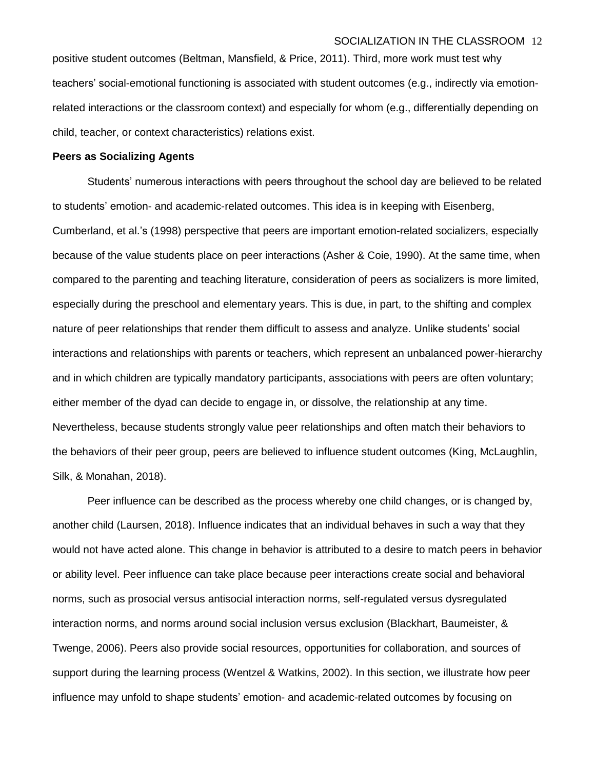positive student outcomes (Beltman, Mansfield, & Price, 2011). Third, more work must test why teachers' social-emotional functioning is associated with student outcomes (e.g., indirectly via emotionrelated interactions or the classroom context) and especially for whom (e.g., differentially depending on child, teacher, or context characteristics) relations exist.

#### **Peers as Socializing Agents**

Students' numerous interactions with peers throughout the school day are believed to be related to students' emotion- and academic-related outcomes. This idea is in keeping with Eisenberg, Cumberland, et al.'s (1998) perspective that peers are important emotion-related socializers, especially because of the value students place on peer interactions (Asher & Coie, 1990). At the same time, when compared to the parenting and teaching literature, consideration of peers as socializers is more limited, especially during the preschool and elementary years. This is due, in part, to the shifting and complex nature of peer relationships that render them difficult to assess and analyze. Unlike students' social interactions and relationships with parents or teachers, which represent an unbalanced power-hierarchy and in which children are typically mandatory participants, associations with peers are often voluntary; either member of the dyad can decide to engage in, or dissolve, the relationship at any time. Nevertheless, because students strongly value peer relationships and often match their behaviors to the behaviors of their peer group, peers are believed to influence student outcomes (King, McLaughlin, Silk, & Monahan, 2018).

Peer influence can be described as the process whereby one child changes, or is changed by, another child (Laursen, 2018). Influence indicates that an individual behaves in such a way that they would not have acted alone. This change in behavior is attributed to a desire to match peers in behavior or ability level. Peer influence can take place because peer interactions create social and behavioral norms, such as prosocial versus antisocial interaction norms, self-regulated versus dysregulated interaction norms, and norms around social inclusion versus exclusion (Blackhart, Baumeister, & Twenge, 2006). Peers also provide social resources, opportunities for collaboration, and sources of support during the learning process (Wentzel & Watkins, 2002). In this section, we illustrate how peer influence may unfold to shape students' emotion- and academic-related outcomes by focusing on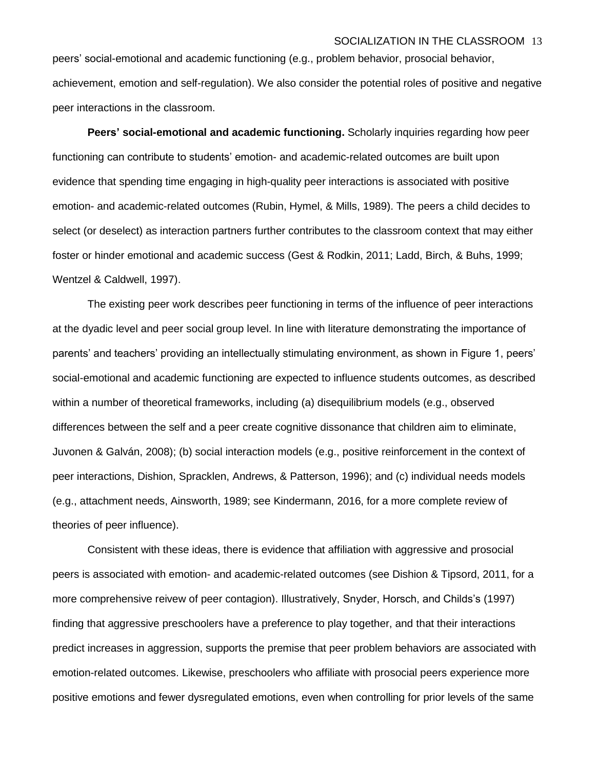peers' social-emotional and academic functioning (e.g., problem behavior, prosocial behavior, achievement, emotion and self-regulation). We also consider the potential roles of positive and negative peer interactions in the classroom.

**Peers' social-emotional and academic functioning.** Scholarly inquiries regarding how peer functioning can contribute to students' emotion- and academic-related outcomes are built upon evidence that spending time engaging in high-quality peer interactions is associated with positive emotion- and academic-related outcomes (Rubin, Hymel, & Mills, 1989). The peers a child decides to select (or deselect) as interaction partners further contributes to the classroom context that may either foster or hinder emotional and academic success (Gest & Rodkin, 2011; Ladd, Birch, & Buhs, 1999; Wentzel & Caldwell, 1997).

The existing peer work describes peer functioning in terms of the influence of peer interactions at the dyadic level and peer social group level. In line with literature demonstrating the importance of parents' and teachers' providing an intellectually stimulating environment, as shown in Figure 1, peers' social-emotional and academic functioning are expected to influence students outcomes, as described within a number of theoretical frameworks, including (a) disequilibrium models (e.g., observed differences between the self and a peer create cognitive dissonance that children aim to eliminate, Juvonen & Galván, 2008); (b) social interaction models (e.g., positive reinforcement in the context of peer interactions, Dishion, Spracklen, Andrews, & Patterson, 1996); and (c) individual needs models (e.g., attachment needs, Ainsworth, 1989; see Kindermann, 2016, for a more complete review of theories of peer influence).

Consistent with these ideas, there is evidence that affiliation with aggressive and prosocial peers is associated with emotion- and academic-related outcomes (see Dishion & Tipsord, 2011, for a more comprehensive reivew of peer contagion). Illustratively, Snyder, Horsch, and Childs's (1997) finding that aggressive preschoolers have a preference to play together, and that their interactions predict increases in aggression, supports the premise that peer problem behaviors are associated with emotion-related outcomes. Likewise, preschoolers who affiliate with prosocial peers experience more positive emotions and fewer dysregulated emotions, even when controlling for prior levels of the same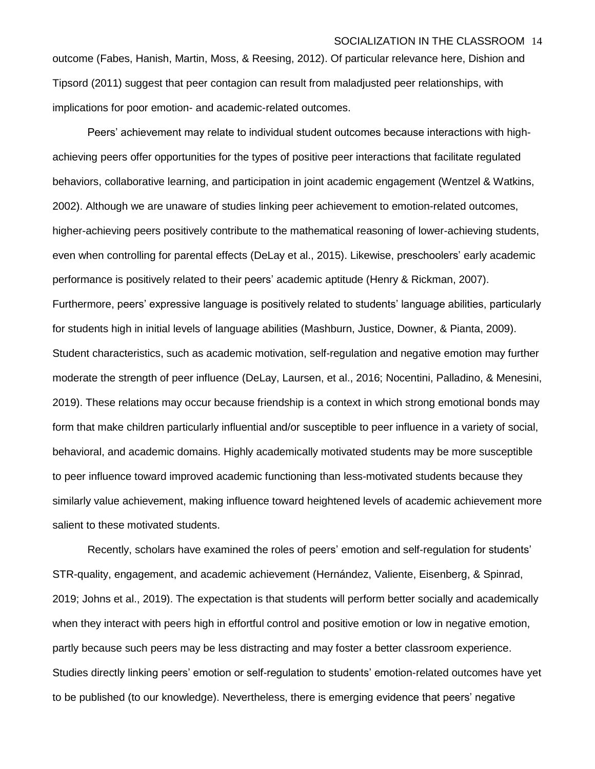outcome (Fabes, Hanish, Martin, Moss, & Reesing, 2012). Of particular relevance here, Dishion and Tipsord (2011) suggest that peer contagion can result from maladjusted peer relationships, with implications for poor emotion- and academic-related outcomes.

Peers' achievement may relate to individual student outcomes because interactions with highachieving peers offer opportunities for the types of positive peer interactions that facilitate regulated behaviors, collaborative learning, and participation in joint academic engagement (Wentzel & Watkins, 2002). Although we are unaware of studies linking peer achievement to emotion-related outcomes, higher-achieving peers positively contribute to the mathematical reasoning of lower-achieving students, even when controlling for parental effects (DeLay et al., 2015). Likewise, preschoolers' early academic performance is positively related to their peers' academic aptitude (Henry & Rickman, 2007). Furthermore, peers' expressive language is positively related to students' language abilities, particularly for students high in initial levels of language abilities (Mashburn, Justice, Downer, & Pianta, 2009). Student characteristics, such as academic motivation, self-regulation and negative emotion may further moderate the strength of peer influence (DeLay, Laursen, et al., 2016; Nocentini, Palladino, & Menesini, 2019). These relations may occur because friendship is a context in which strong emotional bonds may form that make children particularly influential and/or susceptible to peer influence in a variety of social, behavioral, and academic domains. Highly academically motivated students may be more susceptible to peer influence toward improved academic functioning than less-motivated students because they similarly value achievement, making influence toward heightened levels of academic achievement more salient to these motivated students.

Recently, scholars have examined the roles of peers' emotion and self-regulation for students' STR-quality, engagement, and academic achievement (Hernández, Valiente, Eisenberg, & Spinrad, 2019; Johns et al., 2019). The expectation is that students will perform better socially and academically when they interact with peers high in effortful control and positive emotion or low in negative emotion, partly because such peers may be less distracting and may foster a better classroom experience. Studies directly linking peers' emotion or self-regulation to students' emotion-related outcomes have yet to be published (to our knowledge). Nevertheless, there is emerging evidence that peers' negative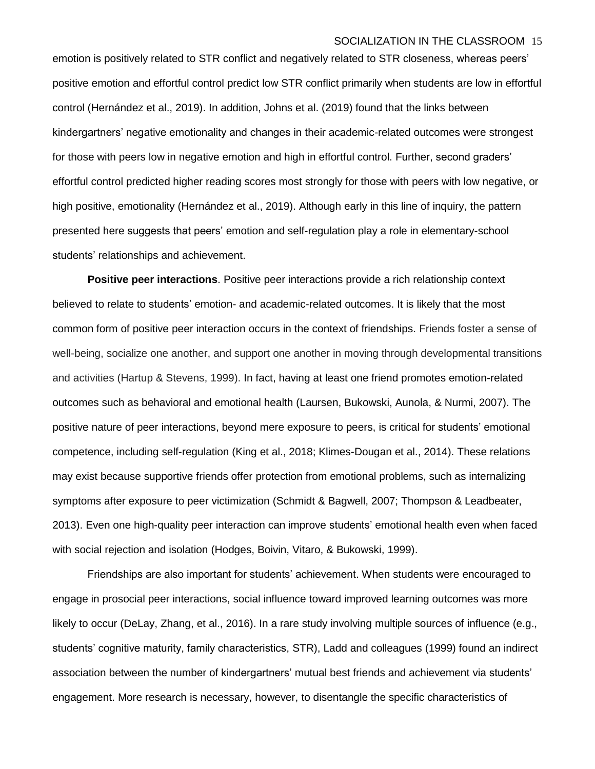emotion is positively related to STR conflict and negatively related to STR closeness, whereas peers' positive emotion and effortful control predict low STR conflict primarily when students are low in effortful control (Hernández et al., 2019). In addition, Johns et al. (2019) found that the links between kindergartners' negative emotionality and changes in their academic-related outcomes were strongest for those with peers low in negative emotion and high in effortful control. Further, second graders' effortful control predicted higher reading scores most strongly for those with peers with low negative, or high positive, emotionality (Hernández et al., 2019). Although early in this line of inquiry, the pattern presented here suggests that peers' emotion and self-regulation play a role in elementary-school students' relationships and achievement.

**Positive peer interactions**. Positive peer interactions provide a rich relationship context believed to relate to students' emotion- and academic-related outcomes. It is likely that the most common form of positive peer interaction occurs in the context of friendships. Friends foster a sense of well-being, socialize one another, and support one another in moving through developmental transitions and activities (Hartup & Stevens, 1999). In fact, having at least one friend promotes emotion-related outcomes such as behavioral and emotional health (Laursen, Bukowski, Aunola, & Nurmi, 2007). The positive nature of peer interactions, beyond mere exposure to peers, is critical for students' emotional competence, including self-regulation (King et al., 2018; Klimes-Dougan et al., 2014). These relations may exist because supportive friends offer protection from emotional problems, such as internalizing symptoms after exposure to peer victimization (Schmidt & Bagwell, 2007; Thompson & Leadbeater, 2013). Even one high-quality peer interaction can improve students' emotional health even when faced with social rejection and isolation (Hodges, Boivin, Vitaro, & Bukowski, 1999).

Friendships are also important for students' achievement. When students were encouraged to engage in prosocial peer interactions, social influence toward improved learning outcomes was more likely to occur (DeLay, Zhang, et al., 2016). In a rare study involving multiple sources of influence (e.g., students' cognitive maturity, family characteristics, STR), Ladd and colleagues (1999) found an indirect association between the number of kindergartners' mutual best friends and achievement via students' engagement. More research is necessary, however, to disentangle the specific characteristics of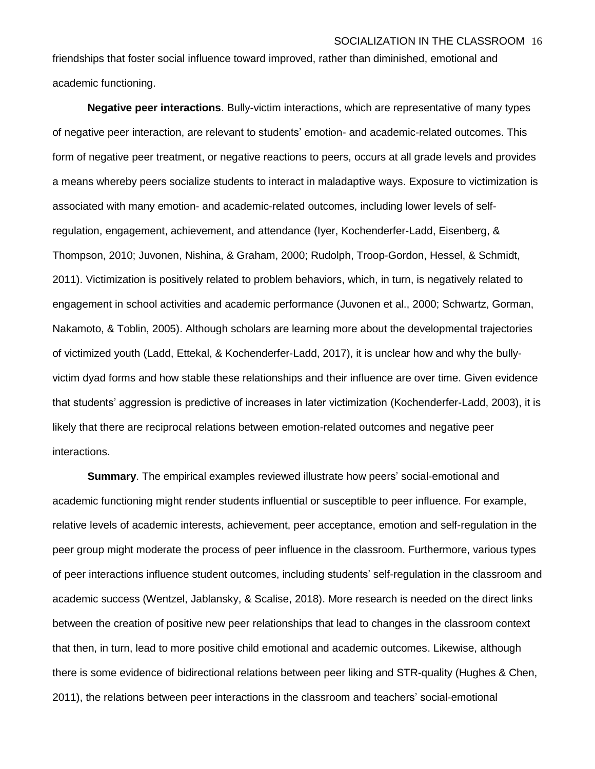friendships that foster social influence toward improved, rather than diminished, emotional and academic functioning.

**Negative peer interactions**. Bully-victim interactions, which are representative of many types of negative peer interaction, are relevant to students' emotion- and academic-related outcomes. This form of negative peer treatment, or negative reactions to peers, occurs at all grade levels and provides a means whereby peers socialize students to interact in maladaptive ways. Exposure to victimization is associated with many emotion- and academic-related outcomes, including lower levels of selfregulation, engagement, achievement, and attendance (Iyer, Kochenderfer-Ladd, Eisenberg, & Thompson, 2010; Juvonen, Nishina, & Graham, 2000; Rudolph, Troop-Gordon, Hessel, & Schmidt, 2011). Victimization is positively related to problem behaviors, which, in turn, is negatively related to engagement in school activities and academic performance (Juvonen et al., 2000; Schwartz, Gorman, Nakamoto, & Toblin, 2005). Although scholars are learning more about the developmental trajectories of victimized youth (Ladd, Ettekal, & Kochenderfer-Ladd, 2017), it is unclear how and why the bullyvictim dyad forms and how stable these relationships and their influence are over time. Given evidence that students' aggression is predictive of increases in later victimization (Kochenderfer-Ladd, 2003), it is likely that there are reciprocal relations between emotion-related outcomes and negative peer interactions.

**Summary**. The empirical examples reviewed illustrate how peers' social-emotional and academic functioning might render students influential or susceptible to peer influence. For example, relative levels of academic interests, achievement, peer acceptance, emotion and self-regulation in the peer group might moderate the process of peer influence in the classroom. Furthermore, various types of peer interactions influence student outcomes, including students' self-regulation in the classroom and academic success (Wentzel, Jablansky, & Scalise, 2018). More research is needed on the direct links between the creation of positive new peer relationships that lead to changes in the classroom context that then, in turn, lead to more positive child emotional and academic outcomes. Likewise, although there is some evidence of bidirectional relations between peer liking and STR-quality (Hughes & Chen, 2011), the relations between peer interactions in the classroom and teachers' social-emotional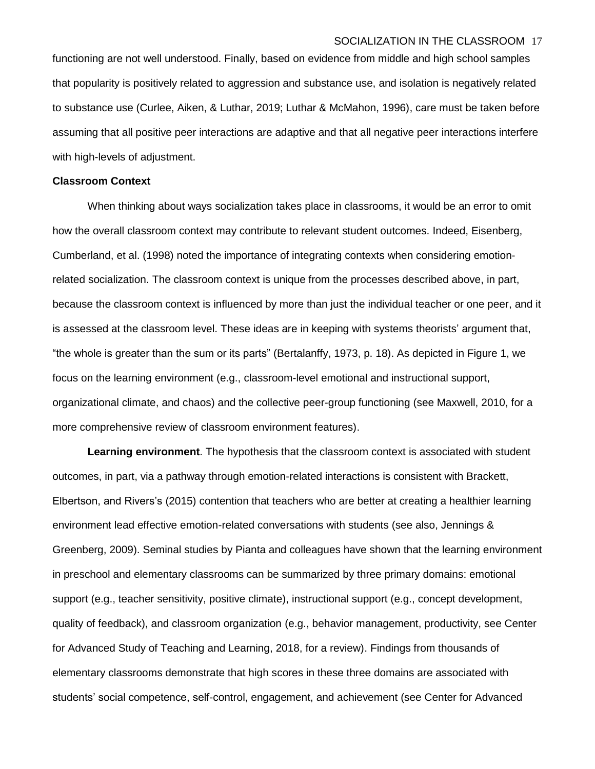functioning are not well understood. Finally, based on evidence from middle and high school samples that popularity is positively related to aggression and substance use, and isolation is negatively related to substance use (Curlee, Aiken, & Luthar, 2019; Luthar & McMahon, 1996), care must be taken before assuming that all positive peer interactions are adaptive and that all negative peer interactions interfere with high-levels of adjustment.

#### **Classroom Context**

When thinking about ways socialization takes place in classrooms, it would be an error to omit how the overall classroom context may contribute to relevant student outcomes. Indeed, Eisenberg, Cumberland, et al. (1998) noted the importance of integrating contexts when considering emotionrelated socialization. The classroom context is unique from the processes described above, in part, because the classroom context is influenced by more than just the individual teacher or one peer, and it is assessed at the classroom level. These ideas are in keeping with systems theorists' argument that, "the whole is greater than the sum or its parts" (Bertalanffy, 1973, p. 18). As depicted in Figure 1, we focus on the learning environment (e.g., classroom-level emotional and instructional support, organizational climate, and chaos) and the collective peer-group functioning (see Maxwell, 2010, for a more comprehensive review of classroom environment features).

**Learning environment**. The hypothesis that the classroom context is associated with student outcomes, in part, via a pathway through emotion-related interactions is consistent with Brackett, Elbertson, and Rivers's (2015) contention that teachers who are better at creating a healthier learning environment lead effective emotion-related conversations with students (see also, Jennings & Greenberg, 2009). Seminal studies by Pianta and colleagues have shown that the learning environment in preschool and elementary classrooms can be summarized by three primary domains: emotional support (e.g., teacher sensitivity, positive climate), instructional support (e.g., concept development, quality of feedback), and classroom organization (e.g., behavior management, productivity, see Center for Advanced Study of Teaching and Learning, 2018, for a review). Findings from thousands of elementary classrooms demonstrate that high scores in these three domains are associated with students' social competence, self-control, engagement, and achievement (see Center for Advanced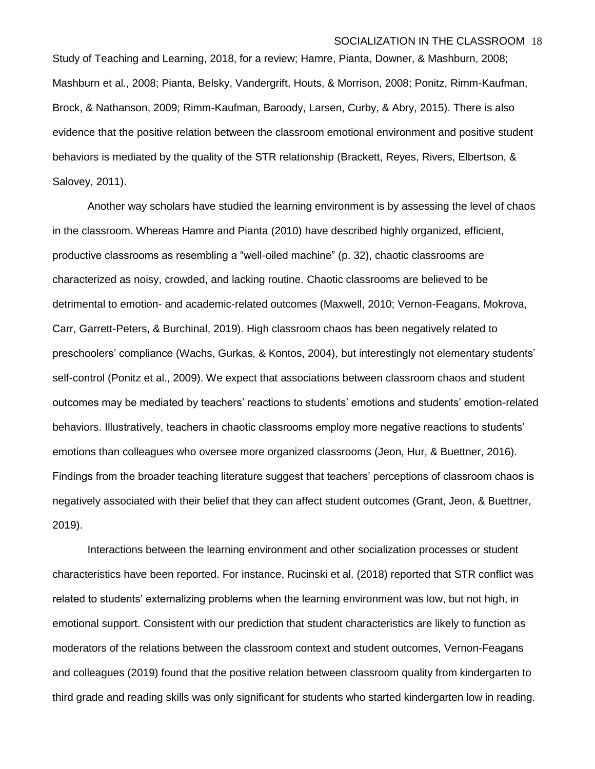Study of Teaching and Learning, 2018, for a review; Hamre, Pianta, Downer, & Mashburn, 2008; Mashburn et al., 2008; Pianta, Belsky, Vandergrift, Houts, & Morrison, 2008; Ponitz, Rimm-Kaufman, Brock, & Nathanson, 2009; Rimm-Kaufman, Baroody, Larsen, Curby, & Abry, 2015). There is also evidence that the positive relation between the classroom emotional environment and positive student behaviors is mediated by the quality of the STR relationship (Brackett, Reyes, Rivers, Elbertson, & Salovey, 2011).

Another way scholars have studied the learning environment is by assessing the level of chaos in the classroom. Whereas Hamre and Pianta (2010) have described highly organized, efficient, productive classrooms as resembling a "well-oiled machine" (p. 32), chaotic classrooms are characterized as noisy, crowded, and lacking routine. Chaotic classrooms are believed to be detrimental to emotion- and academic-related outcomes (Maxwell, 2010; Vernon-Feagans, Mokrova, Carr, Garrett-Peters, & Burchinal, 2019). High classroom chaos has been negatively related to preschoolers' compliance (Wachs, Gurkas, & Kontos, 2004), but interestingly not elementary students' self-control (Ponitz et al., 2009). We expect that associations between classroom chaos and student outcomes may be mediated by teachers' reactions to students' emotions and students' emotion-related behaviors. Illustratively, teachers in chaotic classrooms employ more negative reactions to students' emotions than colleagues who oversee more organized classrooms (Jeon, Hur, & Buettner, 2016). Findings from the broader teaching literature suggest that teachers' perceptions of classroom chaos is negatively associated with their belief that they can affect student outcomes (Grant, Jeon, & Buettner, 2019).

Interactions between the learning environment and other socialization processes or student characteristics have been reported. For instance, Rucinski et al. (2018) reported that STR conflict was related to students' externalizing problems when the learning environment was low, but not high, in emotional support. Consistent with our prediction that student characteristics are likely to function as moderators of the relations between the classroom context and student outcomes, Vernon-Feagans and colleagues (2019) found that the positive relation between classroom quality from kindergarten to third grade and reading skills was only significant for students who started kindergarten low in reading.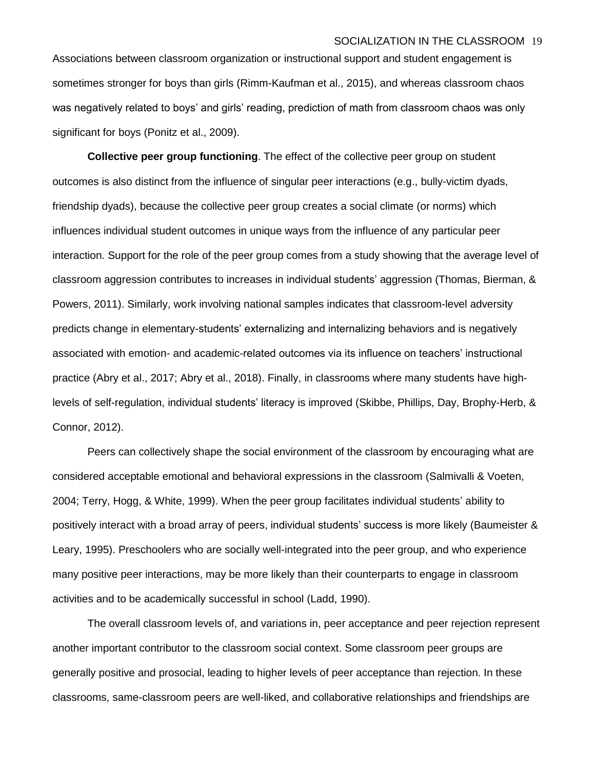Associations between classroom organization or instructional support and student engagement is sometimes stronger for boys than girls (Rimm-Kaufman et al., 2015), and whereas classroom chaos was negatively related to boys' and girls' reading, prediction of math from classroom chaos was only significant for boys (Ponitz et al., 2009).

**Collective peer group functioning**. The effect of the collective peer group on student outcomes is also distinct from the influence of singular peer interactions (e.g., bully-victim dyads, friendship dyads), because the collective peer group creates a social climate (or norms) which influences individual student outcomes in unique ways from the influence of any particular peer interaction. Support for the role of the peer group comes from a study showing that the average level of classroom aggression contributes to increases in individual students' aggression (Thomas, Bierman, & Powers, 2011). Similarly, work involving national samples indicates that classroom-level adversity predicts change in elementary-students' externalizing and internalizing behaviors and is negatively associated with emotion- and academic-related outcomes via its influence on teachers' instructional practice (Abry et al., 2017; Abry et al., 2018). Finally, in classrooms where many students have highlevels of self-regulation, individual students' literacy is improved (Skibbe, Phillips, Day, Brophy-Herb, & Connor, 2012).

Peers can collectively shape the social environment of the classroom by encouraging what are considered acceptable emotional and behavioral expressions in the classroom (Salmivalli & Voeten, 2004; Terry, Hogg, & White, 1999). When the peer group facilitates individual students' ability to positively interact with a broad array of peers, individual students' success is more likely (Baumeister & Leary, 1995). Preschoolers who are socially well-integrated into the peer group, and who experience many positive peer interactions, may be more likely than their counterparts to engage in classroom activities and to be academically successful in school (Ladd, 1990).

The overall classroom levels of, and variations in, peer acceptance and peer rejection represent another important contributor to the classroom social context. Some classroom peer groups are generally positive and prosocial, leading to higher levels of peer acceptance than rejection. In these classrooms, same-classroom peers are well-liked, and collaborative relationships and friendships are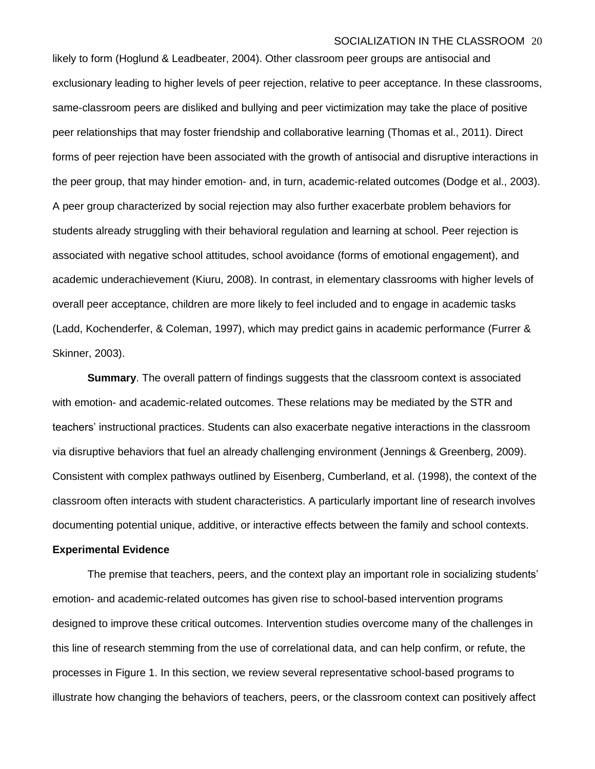likely to form (Hoglund & Leadbeater, 2004). Other classroom peer groups are antisocial and exclusionary leading to higher levels of peer rejection, relative to peer acceptance. In these classrooms, same-classroom peers are disliked and bullying and peer victimization may take the place of positive peer relationships that may foster friendship and collaborative learning (Thomas et al., 2011). Direct forms of peer rejection have been associated with the growth of antisocial and disruptive interactions in the peer group, that may hinder emotion- and, in turn, academic-related outcomes (Dodge et al., 2003). A peer group characterized by social rejection may also further exacerbate problem behaviors for students already struggling with their behavioral regulation and learning at school. Peer rejection is associated with negative school attitudes, school avoidance (forms of emotional engagement), and academic underachievement (Kiuru, 2008). In contrast, in elementary classrooms with higher levels of overall peer acceptance, children are more likely to feel included and to engage in academic tasks (Ladd, Kochenderfer, & Coleman, 1997), which may predict gains in academic performance (Furrer & Skinner, 2003).

**Summary**. The overall pattern of findings suggests that the classroom context is associated with emotion- and academic-related outcomes. These relations may be mediated by the STR and teachers' instructional practices. Students can also exacerbate negative interactions in the classroom via disruptive behaviors that fuel an already challenging environment (Jennings & Greenberg, 2009). Consistent with complex pathways outlined by Eisenberg, Cumberland, et al. (1998), the context of the classroom often interacts with student characteristics. A particularly important line of research involves documenting potential unique, additive, or interactive effects between the family and school contexts.

#### **Experimental Evidence**

The premise that teachers, peers, and the context play an important role in socializing students' emotion- and academic-related outcomes has given rise to school-based intervention programs designed to improve these critical outcomes. Intervention studies overcome many of the challenges in this line of research stemming from the use of correlational data, and can help confirm, or refute, the processes in Figure 1. In this section, we review several representative school-based programs to illustrate how changing the behaviors of teachers, peers, or the classroom context can positively affect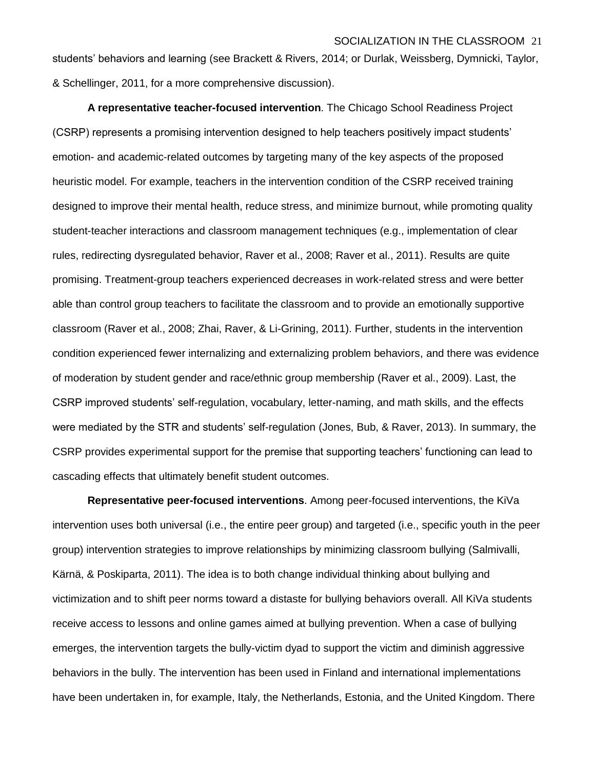students' behaviors and learning (see Brackett & Rivers, 2014; or Durlak, Weissberg, Dymnicki, Taylor, & Schellinger, 2011, for a more comprehensive discussion).

**A representative teacher-focused intervention**. The Chicago School Readiness Project (CSRP) represents a promising intervention designed to help teachers positively impact students' emotion- and academic-related outcomes by targeting many of the key aspects of the proposed heuristic model. For example, teachers in the intervention condition of the CSRP received training designed to improve their mental health, reduce stress, and minimize burnout, while promoting quality student-teacher interactions and classroom management techniques (e.g., implementation of clear rules, redirecting dysregulated behavior, Raver et al., 2008; Raver et al., 2011). Results are quite promising. Treatment-group teachers experienced decreases in work-related stress and were better able than control group teachers to facilitate the classroom and to provide an emotionally supportive classroom (Raver et al., 2008; Zhai, Raver, & Li-Grining, 2011). Further, students in the intervention condition experienced fewer internalizing and externalizing problem behaviors, and there was evidence of moderation by student gender and race/ethnic group membership (Raver et al., 2009). Last, the CSRP improved students' self-regulation, vocabulary, letter-naming, and math skills, and the effects were mediated by the STR and students' self-regulation (Jones, Bub, & Raver, 2013). In summary, the CSRP provides experimental support for the premise that supporting teachers' functioning can lead to cascading effects that ultimately benefit student outcomes.

**Representative peer-focused interventions**. Among peer-focused interventions, the KiVa intervention uses both universal (i.e., the entire peer group) and targeted (i.e., specific youth in the peer group) intervention strategies to improve relationships by minimizing classroom bullying (Salmivalli, Kärnä, & Poskiparta, 2011). The idea is to both change individual thinking about bullying and victimization and to shift peer norms toward a distaste for bullying behaviors overall. All KiVa students receive access to lessons and online games aimed at bullying prevention. When a case of bullying emerges, the intervention targets the bully-victim dyad to support the victim and diminish aggressive behaviors in the bully. The intervention has been used in Finland and international implementations have been undertaken in, for example, Italy, the Netherlands, Estonia, and the United Kingdom. There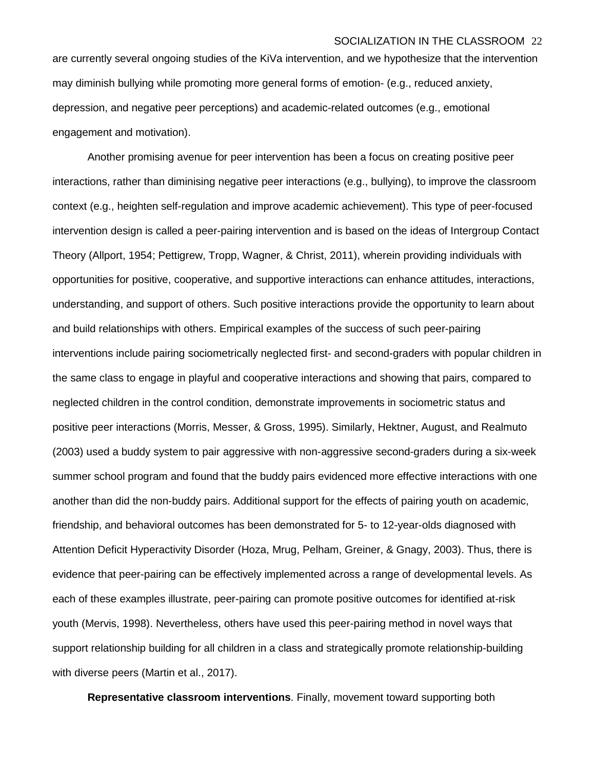are currently several ongoing studies of the KiVa intervention, and we hypothesize that the intervention may diminish bullying while promoting more general forms of emotion- (e.g., reduced anxiety, depression, and negative peer perceptions) and academic-related outcomes (e.g., emotional engagement and motivation).

Another promising avenue for peer intervention has been a focus on creating positive peer interactions, rather than diminising negative peer interactions (e.g., bullying), to improve the classroom context (e.g., heighten self-regulation and improve academic achievement). This type of peer-focused intervention design is called a peer-pairing intervention and is based on the ideas of Intergroup Contact Theory (Allport, 1954; Pettigrew, Tropp, Wagner, & Christ, 2011), wherein providing individuals with opportunities for positive, cooperative, and supportive interactions can enhance attitudes, interactions, understanding, and support of others. Such positive interactions provide the opportunity to learn about and build relationships with others. Empirical examples of the success of such peer-pairing interventions include pairing sociometrically neglected first- and second-graders with popular children in the same class to engage in playful and cooperative interactions and showing that pairs, compared to neglected children in the control condition, demonstrate improvements in sociometric status and positive peer interactions (Morris, Messer, & Gross, 1995). Similarly, Hektner, August, and Realmuto (2003) used a buddy system to pair aggressive with non-aggressive second-graders during a six-week summer school program and found that the buddy pairs evidenced more effective interactions with one another than did the non-buddy pairs. Additional support for the effects of pairing youth on academic, friendship, and behavioral outcomes has been demonstrated for 5- to 12-year-olds diagnosed with Attention Deficit Hyperactivity Disorder (Hoza, Mrug, Pelham, Greiner, & Gnagy, 2003). Thus, there is evidence that peer-pairing can be effectively implemented across a range of developmental levels. As each of these examples illustrate, peer-pairing can promote positive outcomes for identified at-risk youth (Mervis, 1998). Nevertheless, others have used this peer-pairing method in novel ways that support relationship building for all children in a class and strategically promote relationship-building with diverse peers (Martin et al., 2017).

**Representative classroom interventions**. Finally, movement toward supporting both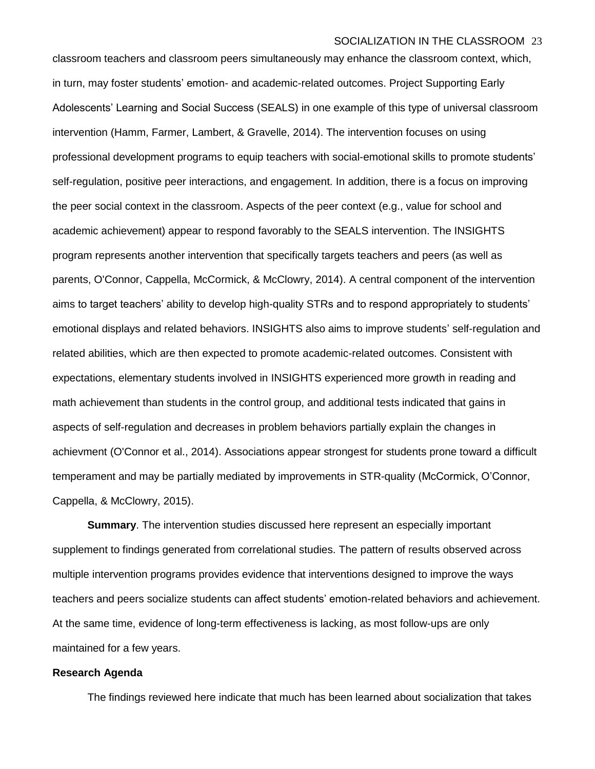classroom teachers and classroom peers simultaneously may enhance the classroom context, which, in turn, may foster students' emotion- and academic-related outcomes. Project Supporting Early Adolescents' Learning and Social Success (SEALS) in one example of this type of universal classroom intervention (Hamm, Farmer, Lambert, & Gravelle, 2014). The intervention focuses on using professional development programs to equip teachers with social-emotional skills to promote students' self-regulation, positive peer interactions, and engagement. In addition, there is a focus on improving the peer social context in the classroom. Aspects of the peer context (e.g., value for school and academic achievement) appear to respond favorably to the SEALS intervention. The INSIGHTS program represents another intervention that specifically targets teachers and peers (as well as parents, O'Connor, Cappella, McCormick, & McClowry, 2014). A central component of the intervention aims to target teachers' ability to develop high-quality STRs and to respond appropriately to students' emotional displays and related behaviors. INSIGHTS also aims to improve students' self-regulation and related abilities, which are then expected to promote academic-related outcomes. Consistent with expectations, elementary students involved in INSIGHTS experienced more growth in reading and math achievement than students in the control group, and additional tests indicated that gains in aspects of self-regulation and decreases in problem behaviors partially explain the changes in achievment (O'Connor et al., 2014). Associations appear strongest for students prone toward a difficult temperament and may be partially mediated by improvements in STR-quality (McCormick, O'Connor, Cappella, & McClowry, 2015).

**Summary**. The intervention studies discussed here represent an especially important supplement to findings generated from correlational studies. The pattern of results observed across multiple intervention programs provides evidence that interventions designed to improve the ways teachers and peers socialize students can affect students' emotion-related behaviors and achievement. At the same time, evidence of long-term effectiveness is lacking, as most follow-ups are only maintained for a few years.

#### **Research Agenda**

The findings reviewed here indicate that much has been learned about socialization that takes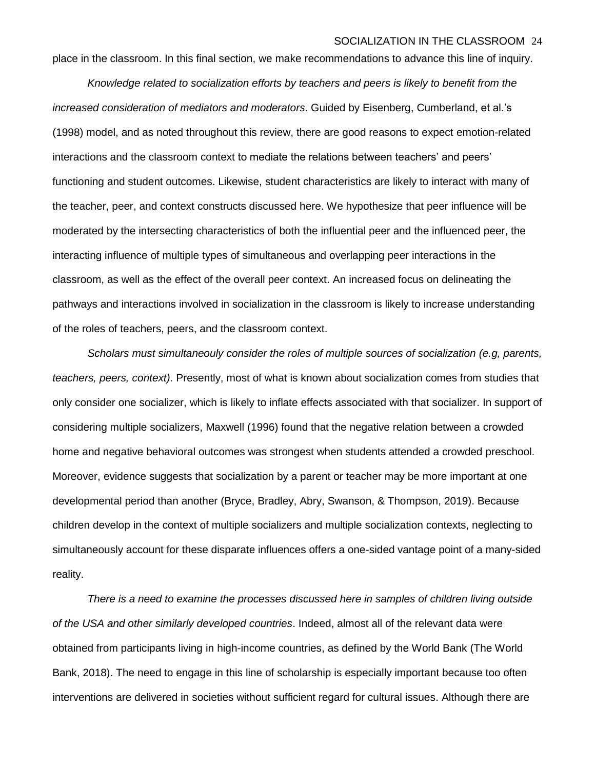place in the classroom. In this final section, we make recommendations to advance this line of inquiry.

*Knowledge related to socialization efforts by teachers and peers is likely to benefit from the increased consideration of mediators and moderators*. Guided by Eisenberg, Cumberland, et al.'s (1998) model, and as noted throughout this review, there are good reasons to expect emotion-related interactions and the classroom context to mediate the relations between teachers' and peers' functioning and student outcomes. Likewise, student characteristics are likely to interact with many of the teacher, peer, and context constructs discussed here. We hypothesize that peer influence will be moderated by the intersecting characteristics of both the influential peer and the influenced peer, the interacting influence of multiple types of simultaneous and overlapping peer interactions in the classroom, as well as the effect of the overall peer context. An increased focus on delineating the pathways and interactions involved in socialization in the classroom is likely to increase understanding of the roles of teachers, peers, and the classroom context.

*Scholars must simultaneouly consider the roles of multiple sources of socialization (e.g, parents, teachers, peers, context)*. Presently, most of what is known about socialization comes from studies that only consider one socializer, which is likely to inflate effects associated with that socializer. In support of considering multiple socializers, Maxwell (1996) found that the negative relation between a crowded home and negative behavioral outcomes was strongest when students attended a crowded preschool. Moreover, evidence suggests that socialization by a parent or teacher may be more important at one developmental period than another (Bryce, Bradley, Abry, Swanson, & Thompson, 2019). Because children develop in the context of multiple socializers and multiple socialization contexts, neglecting to simultaneously account for these disparate influences offers a one-sided vantage point of a many-sided reality.

*There is a need to examine the processes discussed here in samples of children living outside of the USA and other similarly developed countries*. Indeed, almost all of the relevant data were obtained from participants living in high-income countries, as defined by the World Bank (The World Bank, 2018). The need to engage in this line of scholarship is especially important because too often interventions are delivered in societies without sufficient regard for cultural issues. Although there are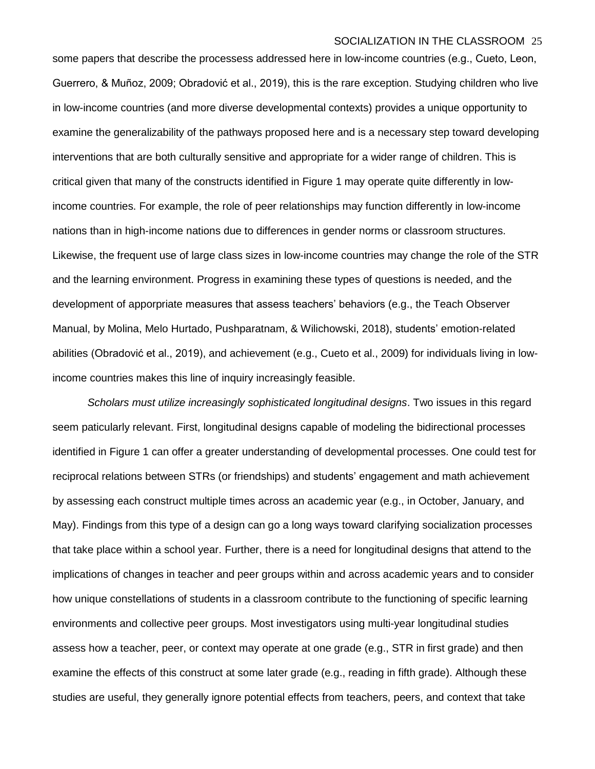some papers that describe the processess addressed here in low-income countries (e.g., Cueto, Leon, Guerrero, & Muñoz, 2009; Obradović et al., 2019), this is the rare exception. Studying children who live in low-income countries (and more diverse developmental contexts) provides a unique opportunity to examine the generalizability of the pathways proposed here and is a necessary step toward developing interventions that are both culturally sensitive and appropriate for a wider range of children. This is critical given that many of the constructs identified in Figure 1 may operate quite differently in lowincome countries. For example, the role of peer relationships may function differently in low-income nations than in high-income nations due to differences in gender norms or classroom structures. Likewise, the frequent use of large class sizes in low-income countries may change the role of the STR and the learning environment. Progress in examining these types of questions is needed, and the development of apporpriate measures that assess teachers' behaviors (e.g., the Teach Observer Manual, by Molina, Melo Hurtado, Pushparatnam, & Wilichowski, 2018), students' emotion-related abilities (Obradović et al., 2019), and achievement (e.g., Cueto et al., 2009) for individuals living in lowincome countries makes this line of inquiry increasingly feasible.

*Scholars must utilize increasingly sophisticated longitudinal designs*. Two issues in this regard seem paticularly relevant. First, longitudinal designs capable of modeling the bidirectional processes identified in Figure 1 can offer a greater understanding of developmental processes. One could test for reciprocal relations between STRs (or friendships) and students' engagement and math achievement by assessing each construct multiple times across an academic year (e.g., in October, January, and May). Findings from this type of a design can go a long ways toward clarifying socialization processes that take place within a school year. Further, there is a need for longitudinal designs that attend to the implications of changes in teacher and peer groups within and across academic years and to consider how unique constellations of students in a classroom contribute to the functioning of specific learning environments and collective peer groups. Most investigators using multi-year longitudinal studies assess how a teacher, peer, or context may operate at one grade (e.g., STR in first grade) and then examine the effects of this construct at some later grade (e.g., reading in fifth grade). Although these studies are useful, they generally ignore potential effects from teachers, peers, and context that take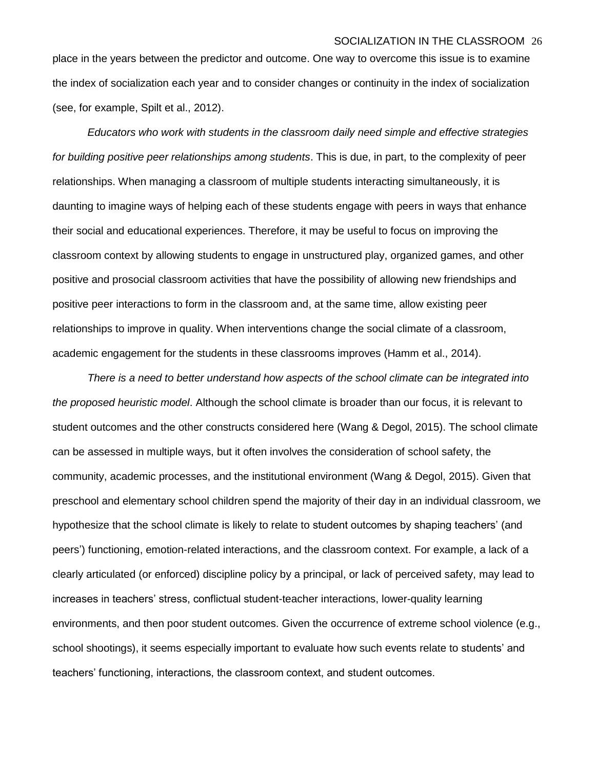place in the years between the predictor and outcome. One way to overcome this issue is to examine the index of socialization each year and to consider changes or continuity in the index of socialization (see, for example, Spilt et al., 2012).

*Educators who work with students in the classroom daily need simple and effective strategies for building positive peer relationships among students*. This is due, in part, to the complexity of peer relationships. When managing a classroom of multiple students interacting simultaneously, it is daunting to imagine ways of helping each of these students engage with peers in ways that enhance their social and educational experiences. Therefore, it may be useful to focus on improving the classroom context by allowing students to engage in unstructured play, organized games, and other positive and prosocial classroom activities that have the possibility of allowing new friendships and positive peer interactions to form in the classroom and, at the same time, allow existing peer relationships to improve in quality. When interventions change the social climate of a classroom, academic engagement for the students in these classrooms improves (Hamm et al., 2014).

*There is a need to better understand how aspects of the school climate can be integrated into the proposed heuristic model*. Although the school climate is broader than our focus, it is relevant to student outcomes and the other constructs considered here (Wang & Degol, 2015). The school climate can be assessed in multiple ways, but it often involves the consideration of school safety, the community, academic processes, and the institutional environment (Wang & Degol, 2015). Given that preschool and elementary school children spend the majority of their day in an individual classroom, we hypothesize that the school climate is likely to relate to student outcomes by shaping teachers' (and peers') functioning, emotion-related interactions, and the classroom context. For example, a lack of a clearly articulated (or enforced) discipline policy by a principal, or lack of perceived safety, may lead to increases in teachers' stress, conflictual student-teacher interactions, lower-quality learning environments, and then poor student outcomes. Given the occurrence of extreme school violence (e.g., school shootings), it seems especially important to evaluate how such events relate to students' and teachers' functioning, interactions, the classroom context, and student outcomes.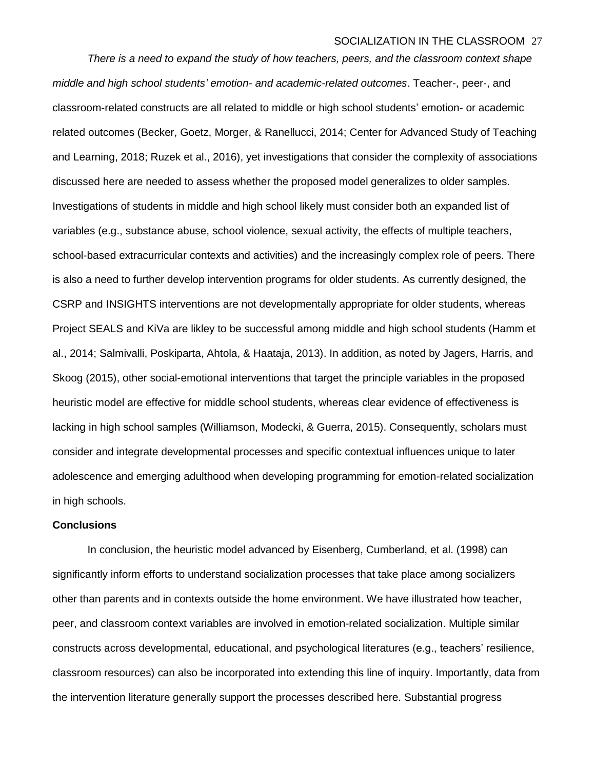*There is a need to expand the study of how teachers, peers, and the classroom context shape middle and high school students' emotion- and academic-related outcomes*. Teacher-, peer-, and classroom-related constructs are all related to middle or high school students' emotion- or academic related outcomes (Becker, Goetz, Morger, & Ranellucci, 2014; Center for Advanced Study of Teaching and Learning, 2018; Ruzek et al., 2016), yet investigations that consider the complexity of associations discussed here are needed to assess whether the proposed model generalizes to older samples. Investigations of students in middle and high school likely must consider both an expanded list of variables (e.g., substance abuse, school violence, sexual activity, the effects of multiple teachers, school-based extracurricular contexts and activities) and the increasingly complex role of peers. There is also a need to further develop intervention programs for older students. As currently designed, the CSRP and INSIGHTS interventions are not developmentally appropriate for older students, whereas Project SEALS and KiVa are likley to be successful among middle and high school students (Hamm et al., 2014; Salmivalli, Poskiparta, Ahtola, & Haataja, 2013). In addition, as noted by Jagers, Harris, and Skoog (2015), other social-emotional interventions that target the principle variables in the proposed heuristic model are effective for middle school students, whereas clear evidence of effectiveness is lacking in high school samples (Williamson, Modecki, & Guerra, 2015). Consequently, scholars must consider and integrate developmental processes and specific contextual influences unique to later adolescence and emerging adulthood when developing programming for emotion-related socialization in high schools.

#### **Conclusions**

In conclusion, the heuristic model advanced by Eisenberg, Cumberland, et al. (1998) can significantly inform efforts to understand socialization processes that take place among socializers other than parents and in contexts outside the home environment. We have illustrated how teacher, peer, and classroom context variables are involved in emotion-related socialization. Multiple similar constructs across developmental, educational, and psychological literatures (e.g., teachers' resilience, classroom resources) can also be incorporated into extending this line of inquiry. Importantly, data from the intervention literature generally support the processes described here. Substantial progress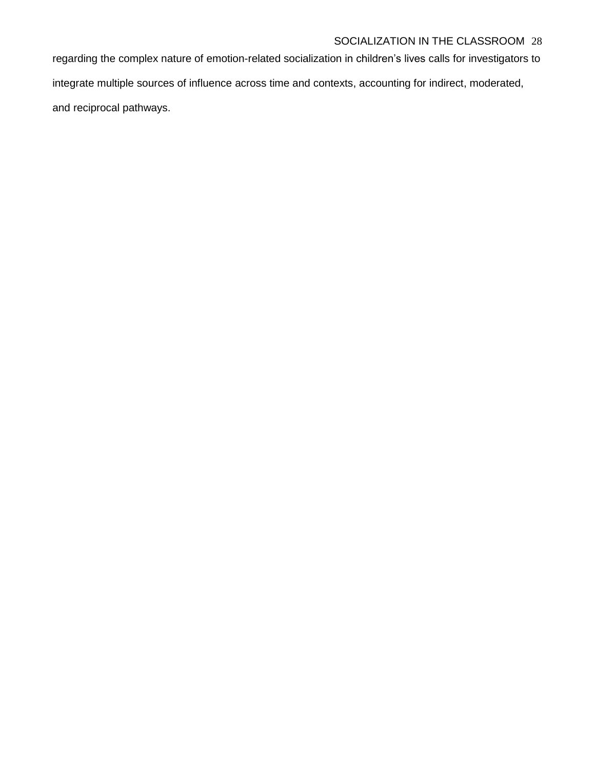regarding the complex nature of emotion-related socialization in children's lives calls for investigators to integrate multiple sources of influence across time and contexts, accounting for indirect, moderated, and reciprocal pathways.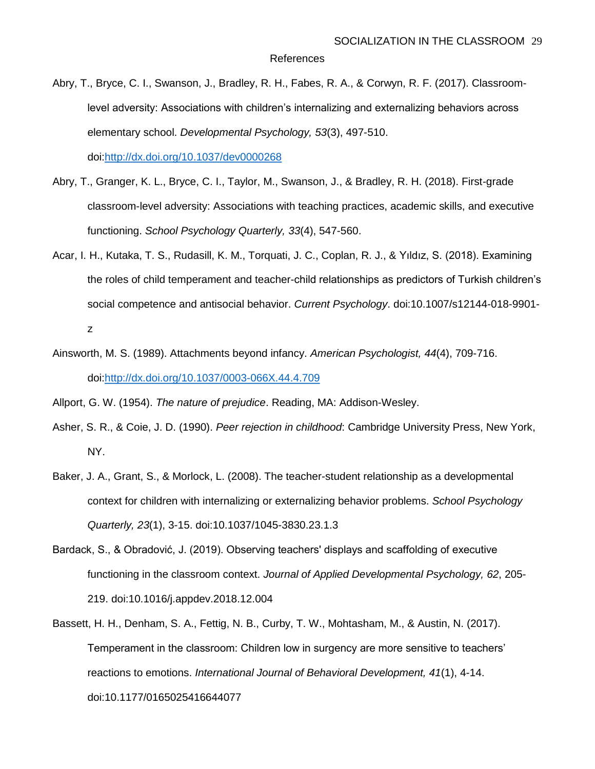#### References

Abry, T., Bryce, C. I., Swanson, J., Bradley, R. H., Fabes, R. A., & Corwyn, R. F. (2017). Classroomlevel adversity: Associations with children's internalizing and externalizing behaviors across elementary school. *Developmental Psychology, 53*(3), 497-510. doi:http://dx.doi.org/10.1037/dev0000268

Abry, T., Granger, K. L., Bryce, C. I., Taylor, M., Swanson, J., & Bradley, R. H. (2018). First-grade classroom-level adversity: Associations with teaching practices, academic skills, and executive

functioning. *School Psychology Quarterly, 33*(4), 547-560.

z

- Acar, I. H., Kutaka, T. S., Rudasill, K. M., Torquati, J. C., Coplan, R. J., & Yıldız, S. (2018). Examining the roles of child temperament and teacher-child relationships as predictors of Turkish children's social competence and antisocial behavior. *Current Psychology*. doi:10.1007/s12144-018-9901-
- Ainsworth, M. S. (1989). Attachments beyond infancy. *American Psychologist, 44*(4), 709-716. doi:http://dx.doi.org/10.1037/0003-066X.44.4.709

Allport, G. W. (1954). *The nature of prejudice*. Reading, MA: Addison-Wesley.

- Asher, S. R., & Coie, J. D. (1990). *Peer rejection in childhood*: Cambridge University Press, New York, NY.
- Baker, J. A., Grant, S., & Morlock, L. (2008). The teacher-student relationship as a developmental context for children with internalizing or externalizing behavior problems. *School Psychology Quarterly, 23*(1), 3-15. doi:10.1037/1045-3830.23.1.3
- Bardack, S., & Obradović, J. (2019). Observing teachers' displays and scaffolding of executive functioning in the classroom context. *Journal of Applied Developmental Psychology, 62*, 205- 219. doi:10.1016/j.appdev.2018.12.004
- Bassett, H. H., Denham, S. A., Fettig, N. B., Curby, T. W., Mohtasham, M., & Austin, N. (2017). Temperament in the classroom: Children low in surgency are more sensitive to teachers' reactions to emotions. *International Journal of Behavioral Development, 41*(1), 4-14. doi:10.1177/0165025416644077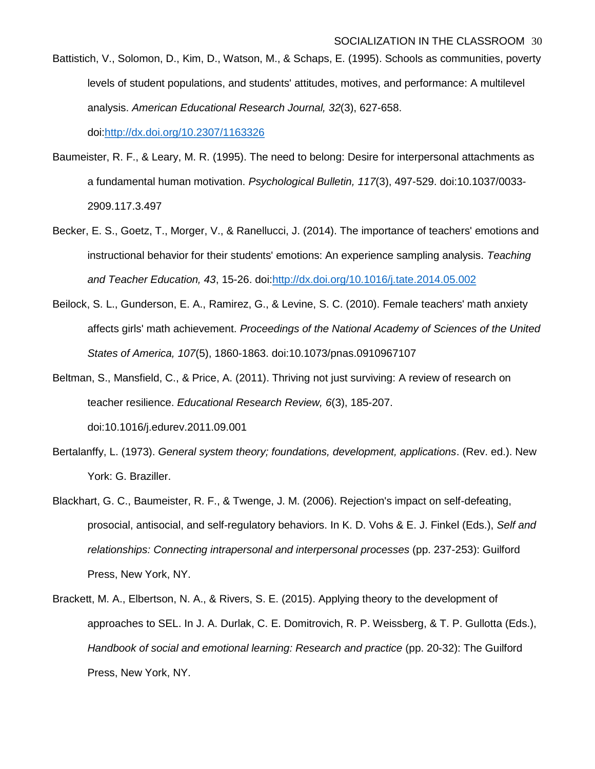Battistich, V., Solomon, D., Kim, D., Watson, M., & Schaps, E. (1995). Schools as communities, poverty levels of student populations, and students' attitudes, motives, and performance: A multilevel analysis. *American Educational Research Journal, 32*(3), 627-658.

doi:http://dx.doi.org/10.2307/1163326

- Baumeister, R. F., & Leary, M. R. (1995). The need to belong: Desire for interpersonal attachments as a fundamental human motivation. *Psychological Bulletin, 117*(3), 497-529. doi:10.1037/0033- 2909.117.3.497
- Becker, E. S., Goetz, T., Morger, V., & Ranellucci, J. (2014). The importance of teachers' emotions and instructional behavior for their students' emotions: An experience sampling analysis. *Teaching and Teacher Education, 43*, 15-26. doi:http://dx.doi.org/10.1016/j.tate.2014.05.002
- Beilock, S. L., Gunderson, E. A., Ramirez, G., & Levine, S. C. (2010). Female teachers' math anxiety affects girls' math achievement. *Proceedings of the National Academy of Sciences of the United States of America, 107*(5), 1860-1863. doi:10.1073/pnas.0910967107
- Beltman, S., Mansfield, C., & Price, A. (2011). Thriving not just surviving: A review of research on teacher resilience. *Educational Research Review, 6*(3), 185-207. doi:10.1016/j.edurev.2011.09.001
- Bertalanffy, L. (1973). *General system theory; foundations, development, applications*. (Rev. ed.). New York: G. Braziller.
- Blackhart, G. C., Baumeister, R. F., & Twenge, J. M. (2006). Rejection's impact on self-defeating, prosocial, antisocial, and self-regulatory behaviors. In K. D. Vohs & E. J. Finkel (Eds.), *Self and relationships: Connecting intrapersonal and interpersonal processes* (pp. 237-253): Guilford Press, New York, NY.
- Brackett, M. A., Elbertson, N. A., & Rivers, S. E. (2015). Applying theory to the development of approaches to SEL. In J. A. Durlak, C. E. Domitrovich, R. P. Weissberg, & T. P. Gullotta (Eds.), *Handbook of social and emotional learning: Research and practice* (pp. 20-32): The Guilford Press, New York, NY.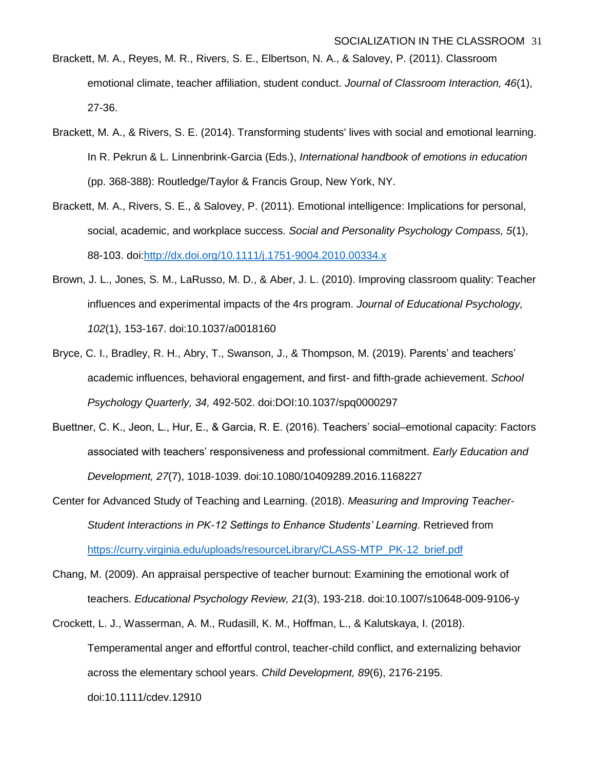- Brackett, M. A., Reyes, M. R., Rivers, S. E., Elbertson, N. A., & Salovey, P. (2011). Classroom emotional climate, teacher affiliation, student conduct. *Journal of Classroom Interaction, 46*(1), 27-36.
- Brackett, M. A., & Rivers, S. E. (2014). Transforming students' lives with social and emotional learning. In R. Pekrun & L. Linnenbrink-Garcia (Eds.), *International handbook of emotions in education* (pp. 368-388): Routledge/Taylor & Francis Group, New York, NY.
- Brackett, M. A., Rivers, S. E., & Salovey, P. (2011). Emotional intelligence: Implications for personal, social, academic, and workplace success. *Social and Personality Psychology Compass, 5*(1), 88-103. doi:http://dx.doi.org/10.1111/j.1751-9004.2010.00334.x
- Brown, J. L., Jones, S. M., LaRusso, M. D., & Aber, J. L. (2010). Improving classroom quality: Teacher influences and experimental impacts of the 4rs program. *Journal of Educational Psychology, 102*(1), 153-167. doi:10.1037/a0018160
- Bryce, C. I., Bradley, R. H., Abry, T., Swanson, J., & Thompson, M. (2019). Parents' and teachers' academic influences, behavioral engagement, and first- and fifth-grade achievement. *School Psychology Quarterly, 34,* 492-502. doi:DOI:10.1037/spq0000297
- Buettner, C. K., Jeon, L., Hur, E., & Garcia, R. E. (2016). Teachers' social–emotional capacity: Factors associated with teachers' responsiveness and professional commitment. *Early Education and Development, 27*(7), 1018-1039. doi:10.1080/10409289.2016.1168227
- Center for Advanced Study of Teaching and Learning. (2018). *Measuring and Improving Teacher-Student Interactions in PK-12 Settings to Enhance Students' Learning*. Retrieved from https://curry.virginia.edu/uploads/resourceLibrary/CLASS-MTP\_PK-12\_brief.pdf
- Chang, M. (2009). An appraisal perspective of teacher burnout: Examining the emotional work of teachers. *Educational Psychology Review, 21*(3), 193-218. doi:10.1007/s10648-009-9106-y
- Crockett, L. J., Wasserman, A. M., Rudasill, K. M., Hoffman, L., & Kalutskaya, I. (2018). Temperamental anger and effortful control, teacher-child conflict, and externalizing behavior across the elementary school years. *Child Development, 89*(6), 2176-2195. doi:10.1111/cdev.12910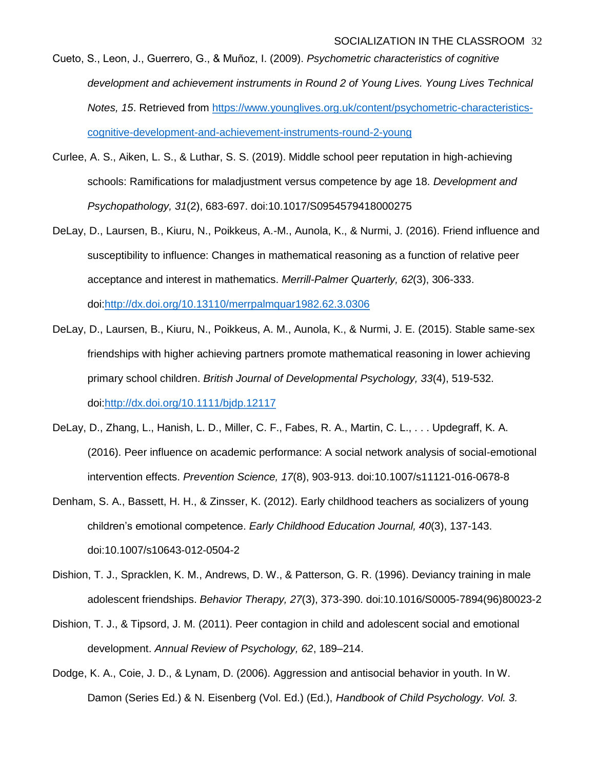- Cueto, S., Leon, J., Guerrero, G., & Muñoz, I. (2009). Psychometric characteristics of cognitive *development and achievement instruments in Round 2 of Young Lives. Young Lives Technical Notes, 15*. Retrieved from https://www.younglives.org.uk/content/psychometric-characteristicscognitive-development-and-achievement-instruments-round-2-young
- Curlee, A. S., Aiken, L. S., & Luthar, S. S. (2019). Middle school peer reputation in high-achieving schools: Ramifications for maladjustment versus competence by age 18. *Development and Psychopathology, 31*(2), 683-697. doi:10.1017/S0954579418000275
- DeLay, D., Laursen, B., Kiuru, N., Poikkeus, A.-M., Aunola, K., & Nurmi, J. (2016). Friend influence and susceptibility to influence: Changes in mathematical reasoning as a function of relative peer acceptance and interest in mathematics. *Merrill-Palmer Quarterly, 62*(3), 306-333. doi:http://dx.doi.org/10.13110/merrpalmquar1982.62.3.0306
- DeLay, D., Laursen, B., Kiuru, N., Poikkeus, A. M., Aunola, K., & Nurmi, J. E. (2015). Stable same‐sex friendships with higher achieving partners promote mathematical reasoning in lower achieving primary school children. *British Journal of Developmental Psychology, 33*(4), 519-532. doi:http://dx.doi.org/10.1111/bjdp.12117
- DeLay, D., Zhang, L., Hanish, L. D., Miller, C. F., Fabes, R. A., Martin, C. L., . . . Updegraff, K. A. (2016). Peer influence on academic performance: A social network analysis of social-emotional intervention effects. *Prevention Science, 17*(8), 903-913. doi:10.1007/s11121-016-0678-8
- Denham, S. A., Bassett, H. H., & Zinsser, K. (2012). Early childhood teachers as socializers of young children's emotional competence. *Early Childhood Education Journal, 40*(3), 137-143. doi:10.1007/s10643-012-0504-2
- Dishion, T. J., Spracklen, K. M., Andrews, D. W., & Patterson, G. R. (1996). Deviancy training in male adolescent friendships. *Behavior Therapy, 27*(3), 373-390. doi:10.1016/S0005-7894(96)80023-2
- Dishion, T. J., & Tipsord, J. M. (2011). Peer contagion in child and adolescent social and emotional development. *Annual Review of Psychology, 62*, 189–214.
- Dodge, K. A., Coie, J. D., & Lynam, D. (2006). Aggression and antisocial behavior in youth. In W. Damon (Series Ed.) & N. Eisenberg (Vol. Ed.) (Ed.), *Handbook of Child Psychology. Vol. 3.*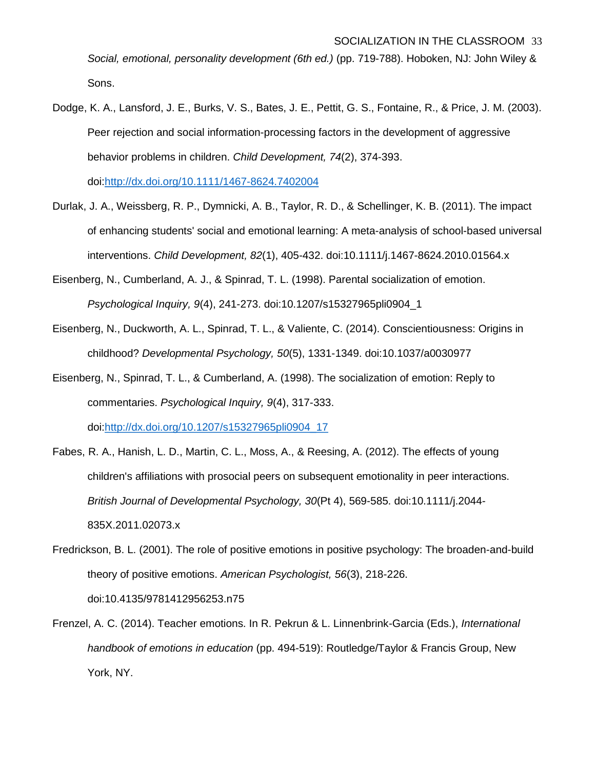*Social, emotional, personality development (6th ed.)* (pp. 719-788). Hoboken, NJ: John Wiley & Sons.

- Dodge, K. A., Lansford, J. E., Burks, V. S., Bates, J. E., Pettit, G. S., Fontaine, R., & Price, J. M. (2003). Peer rejection and social information-processing factors in the development of aggressive behavior problems in children. *Child Development, 74*(2), 374-393. doi:http://dx.doi.org/10.1111/1467-8624.7402004
- Durlak, J. A., Weissberg, R. P., Dymnicki, A. B., Taylor, R. D., & Schellinger, K. B. (2011). The impact of enhancing students' social and emotional learning: A meta-analysis of school-based universal interventions. *Child Development, 82*(1), 405-432. doi:10.1111/j.1467-8624.2010.01564.x
- Eisenberg, N., Cumberland, A. J., & Spinrad, T. L. (1998). Parental socialization of emotion. *Psychological Inquiry, 9*(4), 241-273. doi:10.1207/s15327965pli0904\_1
- Eisenberg, N., Duckworth, A. L., Spinrad, T. L., & Valiente, C. (2014). Conscientiousness: Origins in childhood? *Developmental Psychology, 50*(5), 1331-1349. doi:10.1037/a0030977
- Eisenberg, N., Spinrad, T. L., & Cumberland, A. (1998). The socialization of emotion: Reply to commentaries. *Psychological Inquiry, 9*(4), 317-333. doi:http://dx.doi.org/10.1207/s15327965pli0904\_17
- Fabes, R. A., Hanish, L. D., Martin, C. L., Moss, A., & Reesing, A. (2012). The effects of young children's affiliations with prosocial peers on subsequent emotionality in peer interactions. *British Journal of Developmental Psychology, 30*(Pt 4), 569-585. doi:10.1111/j.2044- 835X.2011.02073.x
- Fredrickson, B. L. (2001). The role of positive emotions in positive psychology: The broaden-and-build theory of positive emotions. *American Psychologist, 56*(3), 218-226. doi:10.4135/9781412956253.n75
- Frenzel, A. C. (2014). Teacher emotions. In R. Pekrun & L. Linnenbrink-Garcia (Eds.), *International handbook of emotions in education* (pp. 494-519): Routledge/Taylor & Francis Group, New York, NY.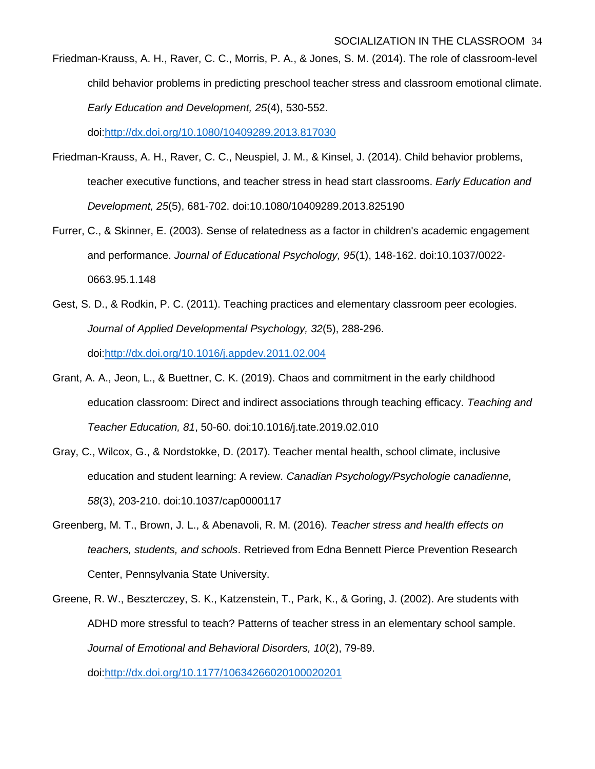Friedman-Krauss, A. H., Raver, C. C., Morris, P. A., & Jones, S. M. (2014). The role of classroom-level child behavior problems in predicting preschool teacher stress and classroom emotional climate. *Early Education and Development, 25*(4), 530-552.

doi:http://dx.doi.org/10.1080/10409289.2013.817030

- Friedman-Krauss, A. H., Raver, C. C., Neuspiel, J. M., & Kinsel, J. (2014). Child behavior problems, teacher executive functions, and teacher stress in head start classrooms. *Early Education and Development, 25*(5), 681-702. doi:10.1080/10409289.2013.825190
- Furrer, C., & Skinner, E. (2003). Sense of relatedness as a factor in children's academic engagement and performance. *Journal of Educational Psychology, 95*(1), 148-162. doi:10.1037/0022- 0663.95.1.148
- Gest, S. D., & Rodkin, P. C. (2011). Teaching practices and elementary classroom peer ecologies. *Journal of Applied Developmental Psychology, 32*(5), 288-296. doi:http://dx.doi.org/10.1016/j.appdev.2011.02.004
- Grant, A. A., Jeon, L., & Buettner, C. K. (2019). Chaos and commitment in the early childhood education classroom: Direct and indirect associations through teaching efficacy. *Teaching and Teacher Education, 81*, 50-60. doi:10.1016/j.tate.2019.02.010
- Gray, C., Wilcox, G., & Nordstokke, D. (2017). Teacher mental health, school climate, inclusive education and student learning: A review. *Canadian Psychology/Psychologie canadienne, 58*(3), 203-210. doi:10.1037/cap0000117
- Greenberg, M. T., Brown, J. L., & Abenavoli, R. M. (2016). *Teacher stress and health effects on teachers, students, and schools*. Retrieved from Edna Bennett Pierce Prevention Research Center, Pennsylvania State University.
- Greene, R. W., Beszterczey, S. K., Katzenstein, T., Park, K., & Goring, J. (2002). Are students with ADHD more stressful to teach? Patterns of teacher stress in an elementary school sample. *Journal of Emotional and Behavioral Disorders, 10*(2), 79-89.

doi:http://dx.doi.org/10.1177/10634266020100020201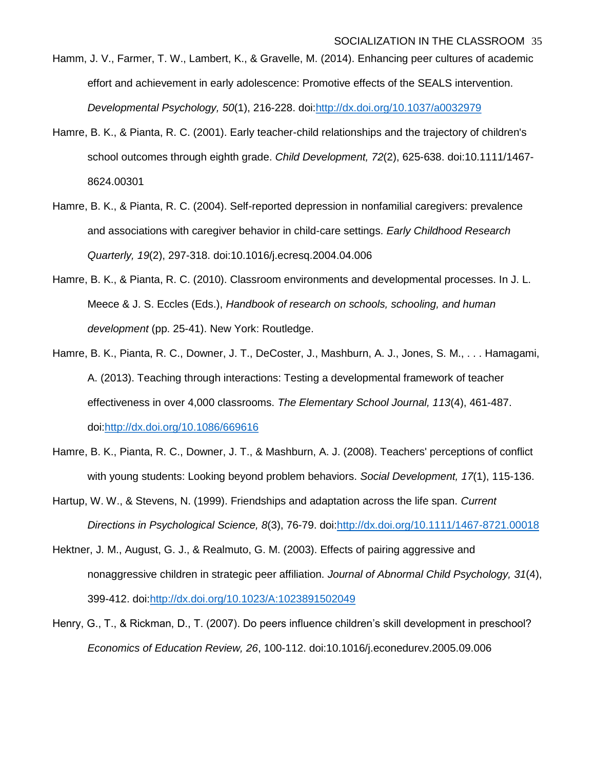- Hamm, J. V., Farmer, T. W., Lambert, K., & Gravelle, M. (2014). Enhancing peer cultures of academic effort and achievement in early adolescence: Promotive effects of the SEALS intervention. *Developmental Psychology, 50*(1), 216-228. doi:http://dx.doi.org/10.1037/a0032979
- Hamre, B. K., & Pianta, R. C. (2001). Early teacher-child relationships and the trajectory of children's school outcomes through eighth grade. *Child Development, 72*(2), 625-638. doi:10.1111/1467- 8624.00301
- Hamre, B. K., & Pianta, R. C. (2004). Self-reported depression in nonfamilial caregivers: prevalence and associations with caregiver behavior in child-care settings. *Early Childhood Research Quarterly, 19*(2), 297-318. doi:10.1016/j.ecresq.2004.04.006
- Hamre, B. K., & Pianta, R. C. (2010). Classroom environments and developmental processes. In J. L. Meece & J. S. Eccles (Eds.), *Handbook of research on schools, schooling, and human development* (pp. 25-41). New York: Routledge.
- Hamre, B. K., Pianta, R. C., Downer, J. T., DeCoster, J., Mashburn, A. J., Jones, S. M., . . . Hamagami, A. (2013). Teaching through interactions: Testing a developmental framework of teacher effectiveness in over 4,000 classrooms. *The Elementary School Journal, 113*(4), 461-487. doi:http://dx.doi.org/10.1086/669616
- Hamre, B. K., Pianta, R. C., Downer, J. T., & Mashburn, A. J. (2008). Teachers' perceptions of conflict with young students: Looking beyond problem behaviors. *Social Development, 17*(1), 115-136.
- Hartup, W. W., & Stevens, N. (1999). Friendships and adaptation across the life span. *Current Directions in Psychological Science, 8*(3), 76-79. doi:http://dx.doi.org/10.1111/1467-8721.00018
- Hektner, J. M., August, G. J., & Realmuto, G. M. (2003). Effects of pairing aggressive and nonaggressive children in strategic peer affiliation. *Journal of Abnormal Child Psychology, 31*(4), 399-412. doi:http://dx.doi.org/10.1023/A:1023891502049
- Henry, G., T., & Rickman, D., T. (2007). Do peers influence children's skill development in preschool? *Economics of Education Review, 26*, 100-112. doi:10.1016/j.econedurev.2005.09.006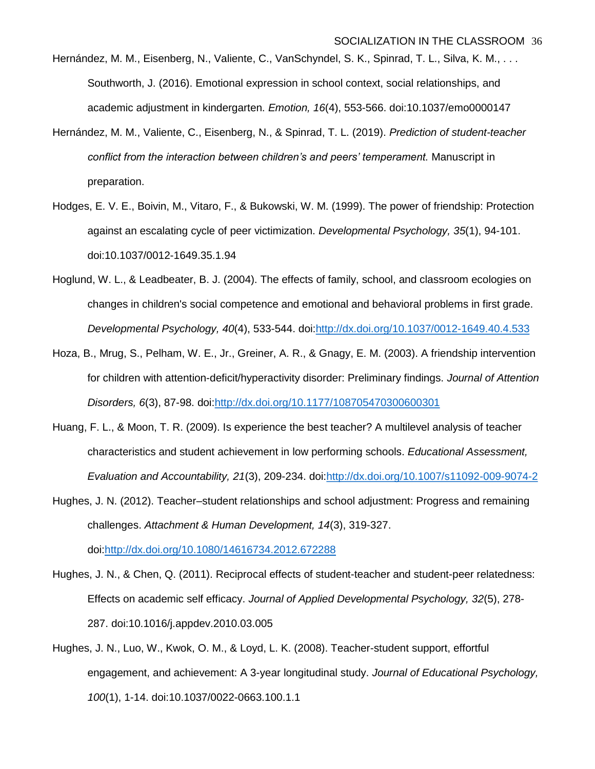- Hernández, M. M., Eisenberg, N., Valiente, C., VanSchyndel, S. K., Spinrad, T. L., Silva, K. M., . . . Southworth, J. (2016). Emotional expression in school context, social relationships, and academic adjustment in kindergarten. *Emotion, 16*(4), 553-566. doi:10.1037/emo0000147
- Hernández, M. M., Valiente, C., Eisenberg, N., & Spinrad, T. L. (2019). *Prediction of student-teacher conflict from the interaction between children's and peers' temperament.* Manuscript in preparation.
- Hodges, E. V. E., Boivin, M., Vitaro, F., & Bukowski, W. M. (1999). The power of friendship: Protection against an escalating cycle of peer victimization. *Developmental Psychology, 35*(1), 94-101. doi:10.1037/0012-1649.35.1.94
- Hoglund, W. L., & Leadbeater, B. J. (2004). The effects of family, school, and classroom ecologies on changes in children's social competence and emotional and behavioral problems in first grade. *Developmental Psychology, 40*(4), 533-544. doi:http://dx.doi.org/10.1037/0012-1649.40.4.533
- Hoza, B., Mrug, S., Pelham, W. E., Jr., Greiner, A. R., & Gnagy, E. M. (2003). A friendship intervention for children with attention-deficit/hyperactivity disorder: Preliminary findings. *Journal of Attention Disorders, 6*(3), 87-98. doi:http://dx.doi.org/10.1177/108705470300600301
- Huang, F. L., & Moon, T. R. (2009). Is experience the best teacher? A multilevel analysis of teacher characteristics and student achievement in low performing schools. *Educational Assessment, Evaluation and Accountability, 21*(3), 209-234. doi:http://dx.doi.org/10.1007/s11092-009-9074-2
- Hughes, J. N. (2012). Teacher–student relationships and school adjustment: Progress and remaining challenges. *Attachment & Human Development, 14*(3), 319-327. doi:http://dx.doi.org/10.1080/14616734.2012.672288
- Hughes, J. N., & Chen, Q. (2011). Reciprocal effects of student-teacher and student-peer relatedness: Effects on academic self efficacy. *Journal of Applied Developmental Psychology, 32*(5), 278- 287. doi:10.1016/j.appdev.2010.03.005
- Hughes, J. N., Luo, W., Kwok, O. M., & Loyd, L. K. (2008). Teacher-student support, effortful engagement, and achievement: A 3-year longitudinal study. *Journal of Educational Psychology, 100*(1), 1-14. doi:10.1037/0022-0663.100.1.1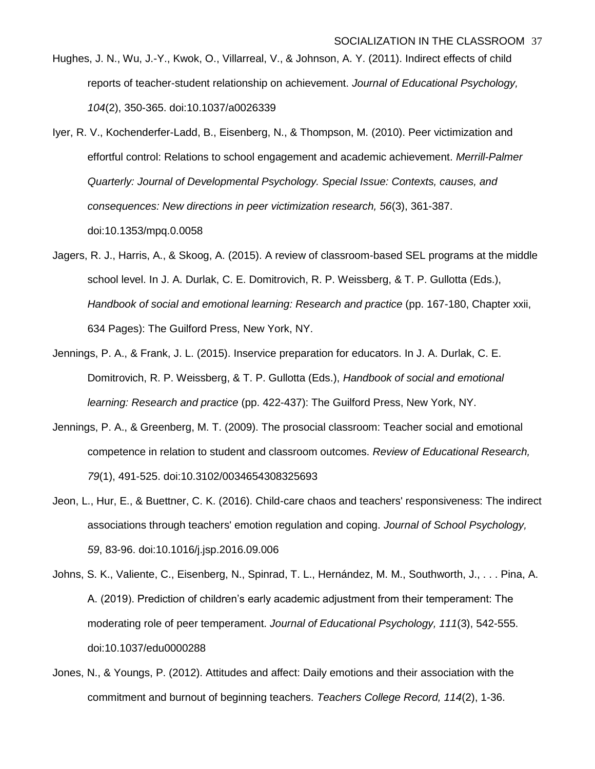- Hughes, J. N., Wu, J.-Y., Kwok, O., Villarreal, V., & Johnson, A. Y. (2011). Indirect effects of child reports of teacher-student relationship on achievement. *Journal of Educational Psychology, 104*(2), 350-365. doi:10.1037/a0026339
- Iyer, R. V., Kochenderfer-Ladd, B., Eisenberg, N., & Thompson, M. (2010). Peer victimization and effortful control: Relations to school engagement and academic achievement. *Merrill-Palmer Quarterly: Journal of Developmental Psychology. Special Issue: Contexts, causes, and consequences: New directions in peer victimization research, 56*(3), 361-387. doi:10.1353/mpq.0.0058
- Jagers, R. J., Harris, A., & Skoog, A. (2015). A review of classroom-based SEL programs at the middle school level. In J. A. Durlak, C. E. Domitrovich, R. P. Weissberg, & T. P. Gullotta (Eds.), *Handbook of social and emotional learning: Research and practice* (pp. 167-180, Chapter xxii, 634 Pages): The Guilford Press, New York, NY.
- Jennings, P. A., & Frank, J. L. (2015). Inservice preparation for educators. In J. A. Durlak, C. E. Domitrovich, R. P. Weissberg, & T. P. Gullotta (Eds.), *Handbook of social and emotional learning: Research and practice* (pp. 422-437): The Guilford Press, New York, NY.
- Jennings, P. A., & Greenberg, M. T. (2009). The prosocial classroom: Teacher social and emotional competence in relation to student and classroom outcomes. *Review of Educational Research, 79*(1), 491-525. doi:10.3102/0034654308325693
- Jeon, L., Hur, E., & Buettner, C. K. (2016). Child-care chaos and teachers' responsiveness: The indirect associations through teachers' emotion regulation and coping. *Journal of School Psychology, 59*, 83-96. doi:10.1016/j.jsp.2016.09.006
- Johns, S. K., Valiente, C., Eisenberg, N., Spinrad, T. L., Hernández, M. M., Southworth, J., . . . Pina, A. A. (2019). Prediction of children's early academic adjustment from their temperament: The moderating role of peer temperament. *Journal of Educational Psychology, 111*(3), 542-555. doi:10.1037/edu0000288
- Jones, N., & Youngs, P. (2012). Attitudes and affect: Daily emotions and their association with the commitment and burnout of beginning teachers. *Teachers College Record, 114*(2), 1-36.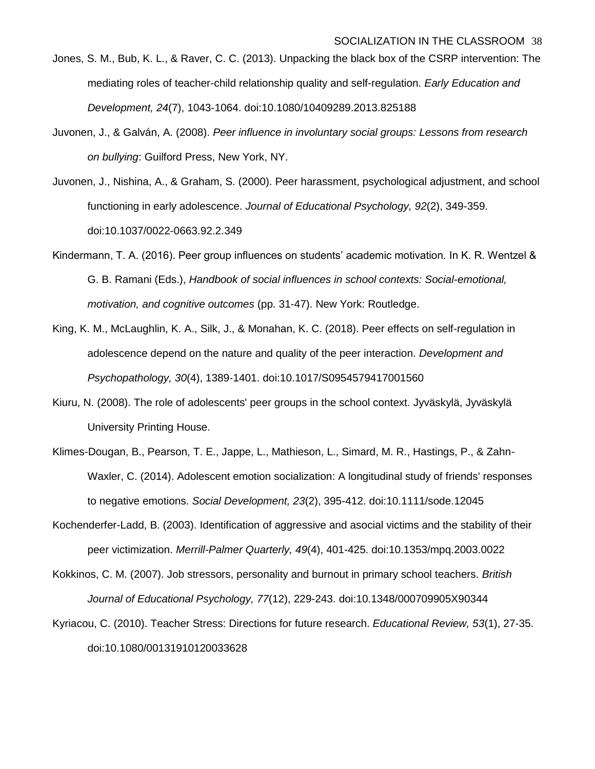- Jones, S. M., Bub, K. L., & Raver, C. C. (2013). Unpacking the black box of the CSRP intervention: The mediating roles of teacher-child relationship quality and self-regulation. *Early Education and Development, 24*(7), 1043-1064. doi:10.1080/10409289.2013.825188
- Juvonen, J., & Galván, A. (2008). *Peer influence in involuntary social groups: Lessons from research on bullying*: Guilford Press, New York, NY.
- Juvonen, J., Nishina, A., & Graham, S. (2000). Peer harassment, psychological adjustment, and school functioning in early adolescence. *Journal of Educational Psychology, 92*(2), 349-359. doi:10.1037/0022-0663.92.2.349
- Kindermann, T. A. (2016). Peer group influences on students' academic motivation. In K. R. Wentzel & G. B. Ramani (Eds.), *Handbook of social influences in school contexts: Social-emotional, motivation, and cognitive outcomes* (pp. 31-47). New York: Routledge.
- King, K. M., McLaughlin, K. A., Silk, J., & Monahan, K. C. (2018). Peer effects on self-regulation in adolescence depend on the nature and quality of the peer interaction. *Development and Psychopathology, 30*(4), 1389-1401. doi:10.1017/S0954579417001560
- Kiuru, N. (2008). The role of adolescents' peer groups in the school context. Jyväskylä, Jyväskylä University Printing House.
- Klimes-Dougan, B., Pearson, T. E., Jappe, L., Mathieson, L., Simard, M. R., Hastings, P., & Zahn-Waxler, C. (2014). Adolescent emotion socialization: A longitudinal study of friends' responses to negative emotions. *Social Development, 23*(2), 395-412. doi:10.1111/sode.12045
- Kochenderfer-Ladd, B. (2003). Identification of aggressive and asocial victims and the stability of their peer victimization. *Merrill-Palmer Quarterly, 49*(4), 401-425. doi:10.1353/mpq.2003.0022
- Kokkinos, C. M. (2007). Job stressors, personality and burnout in primary school teachers. *British Journal of Educational Psychology, 77*(12), 229-243. doi:10.1348/000709905X90344
- Kyriacou, C. (2010). Teacher Stress: Directions for future research. *Educational Review, 53*(1), 27-35. doi:10.1080/00131910120033628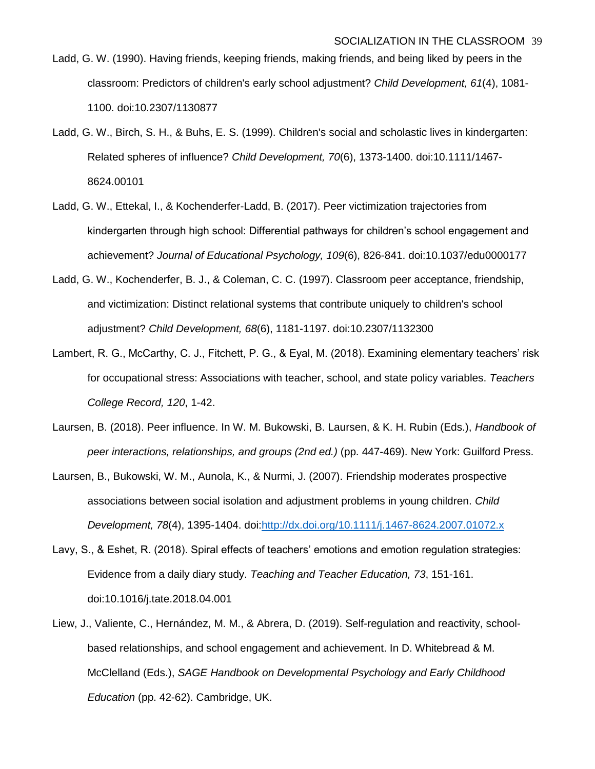- Ladd, G. W. (1990). Having friends, keeping friends, making friends, and being liked by peers in the classroom: Predictors of children's early school adjustment? *Child Development, 61*(4), 1081- 1100. doi:10.2307/1130877
- Ladd, G. W., Birch, S. H., & Buhs, E. S. (1999). Children's social and scholastic lives in kindergarten: Related spheres of influence? *Child Development, 70*(6), 1373-1400. doi:10.1111/1467- 8624.00101
- Ladd, G. W., Ettekal, I., & Kochenderfer-Ladd, B. (2017). Peer victimization trajectories from kindergarten through high school: Differential pathways for children's school engagement and achievement? *Journal of Educational Psychology, 109*(6), 826-841. doi:10.1037/edu0000177
- Ladd, G. W., Kochenderfer, B. J., & Coleman, C. C. (1997). Classroom peer acceptance, friendship, and victimization: Distinct relational systems that contribute uniquely to children's school adjustment? *Child Development, 68*(6), 1181-1197. doi:10.2307/1132300
- Lambert, R. G., McCarthy, C. J., Fitchett, P. G., & Eyal, M. (2018). Examining elementary teachers' risk for occupational stress: Associations with teacher, school, and state policy variables. *Teachers College Record, 120*, 1-42.
- Laursen, B. (2018). Peer influence. In W. M. Bukowski, B. Laursen, & K. H. Rubin (Eds.), *Handbook of peer interactions, relationships, and groups (2nd ed.)* (pp. 447-469). New York: Guilford Press.
- Laursen, B., Bukowski, W. M., Aunola, K., & Nurmi, J. (2007). Friendship moderates prospective associations between social isolation and adjustment problems in young children. *Child Development, 78*(4), 1395-1404. doi:http://dx.doi.org/10.1111/j.1467-8624.2007.01072.x
- Lavy, S., & Eshet, R. (2018). Spiral effects of teachers' emotions and emotion regulation strategies: Evidence from a daily diary study. *Teaching and Teacher Education, 73*, 151-161. doi:10.1016/j.tate.2018.04.001
- Liew, J., Valiente, C., Hernández, M. M., & Abrera, D. (2019). Self-regulation and reactivity, schoolbased relationships, and school engagement and achievement. In D. Whitebread & M. McClelland (Eds.), *SAGE Handbook on Developmental Psychology and Early Childhood Education* (pp. 42-62). Cambridge, UK.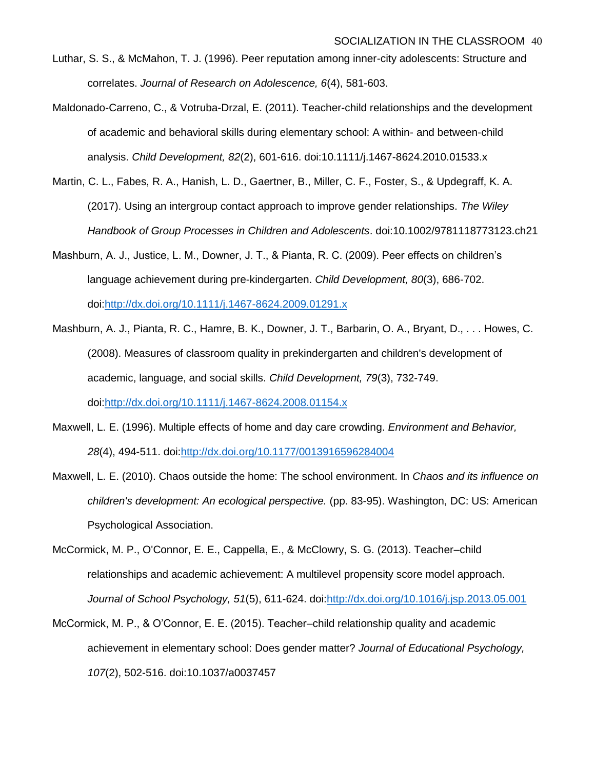- Luthar, S. S., & McMahon, T. J. (1996). Peer reputation among inner-city adolescents: Structure and correlates. *Journal of Research on Adolescence, 6*(4), 581-603.
- Maldonado-Carreno, C., & Votruba-Drzal, E. (2011). Teacher-child relationships and the development of academic and behavioral skills during elementary school: A within- and between-child analysis. *Child Development, 82*(2), 601-616. doi:10.1111/j.1467-8624.2010.01533.x
- Martin, C. L., Fabes, R. A., Hanish, L. D., Gaertner, B., Miller, C. F., Foster, S., & Updegraff, K. A. (2017). Using an intergroup contact approach to improve gender relationships. *The Wiley Handbook of Group Processes in Children and Adolescents*. doi:10.1002/9781118773123.ch21
- Mashburn, A. J., Justice, L. M., Downer, J. T., & Pianta, R. C. (2009). Peer effects on children's language achievement during pre-kindergarten. *Child Development, 80*(3), 686-702. doi:http://dx.doi.org/10.1111/j.1467-8624.2009.01291.x
- Mashburn, A. J., Pianta, R. C., Hamre, B. K., Downer, J. T., Barbarin, O. A., Bryant, D., . . . Howes, C. (2008). Measures of classroom quality in prekindergarten and children's development of academic, language, and social skills. *Child Development, 79*(3), 732-749. doi:http://dx.doi.org/10.1111/j.1467-8624.2008.01154.x
- Maxwell, L. E. (1996). Multiple effects of home and day care crowding. *Environment and Behavior, 28*(4), 494-511. doi:http://dx.doi.org/10.1177/0013916596284004
- Maxwell, L. E. (2010). Chaos outside the home: The school environment. In *Chaos and its influence on children's development: An ecological perspective.* (pp. 83-95). Washington, DC: US: American Psychological Association.
- McCormick, M. P., O'Connor, E. E., Cappella, E., & McClowry, S. G. (2013). Teacher–child relationships and academic achievement: A multilevel propensity score model approach. *Journal of School Psychology, 51*(5), 611-624. doi:http://dx.doi.org/10.1016/j.jsp.2013.05.001
- McCormick, M. P., & O'Connor, E. E. (2015). Teacher–child relationship quality and academic achievement in elementary school: Does gender matter? *Journal of Educational Psychology, 107*(2), 502-516. doi:10.1037/a0037457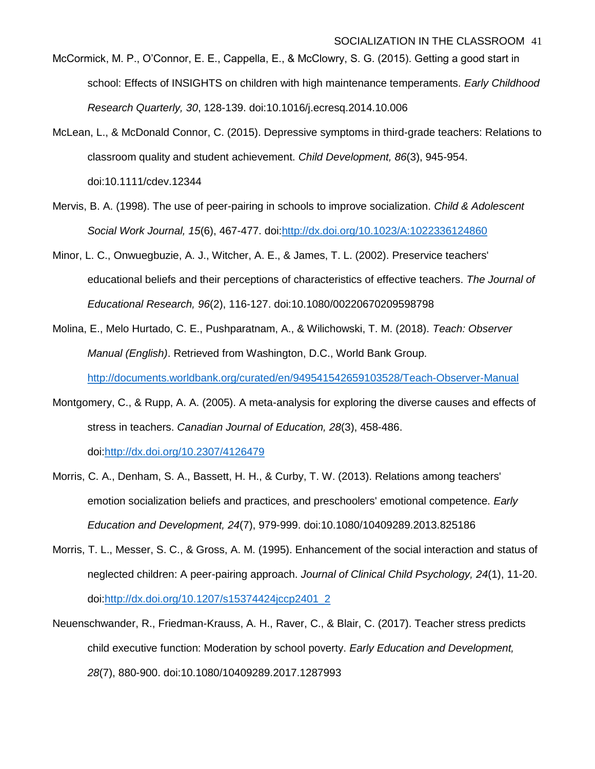- McCormick, M. P., O'Connor, E. E., Cappella, E., & McClowry, S. G. (2015). Getting a good start in school: Effects of INSIGHTS on children with high maintenance temperaments. *Early Childhood Research Quarterly, 30*, 128-139. doi:10.1016/j.ecresq.2014.10.006
- McLean, L., & McDonald Connor, C. (2015). Depressive symptoms in third-grade teachers: Relations to classroom quality and student achievement. *Child Development, 86*(3), 945-954. doi:10.1111/cdev.12344
- Mervis, B. A. (1998). The use of peer-pairing in schools to improve socialization. *Child & Adolescent Social Work Journal, 15*(6), 467-477. doi:http://dx.doi.org/10.1023/A:1022336124860
- Minor, L. C., Onwuegbuzie, A. J., Witcher, A. E., & James, T. L. (2002). Preservice teachers' educational beliefs and their perceptions of characteristics of effective teachers. *The Journal of Educational Research, 96*(2), 116-127. doi:10.1080/00220670209598798
- Molina, E., Melo Hurtado, C. E., Pushparatnam, A., & Wilichowski, T. M. (2018). *Teach: Observer Manual (English)*. Retrieved from Washington, D.C., World Bank Group. http://documents.worldbank.org/curated/en/949541542659103528/Teach-Observer-Manual
- Montgomery, C., & Rupp, A. A. (2005). A meta-analysis for exploring the diverse causes and effects of stress in teachers. *Canadian Journal of Education, 28*(3), 458-486. doi:http://dx.doi.org/10.2307/4126479
- Morris, C. A., Denham, S. A., Bassett, H. H., & Curby, T. W. (2013). Relations among teachers' emotion socialization beliefs and practices, and preschoolers' emotional competence. *Early Education and Development, 24*(7), 979-999. doi:10.1080/10409289.2013.825186
- Morris, T. L., Messer, S. C., & Gross, A. M. (1995). Enhancement of the social interaction and status of neglected children: A peer-pairing approach. *Journal of Clinical Child Psychology, 24*(1), 11-20. doi:http://dx.doi.org/10.1207/s15374424jccp2401\_2
- Neuenschwander, R., Friedman-Krauss, A. H., Raver, C., & Blair, C. (2017). Teacher stress predicts child executive function: Moderation by school poverty. *Early Education and Development, 28*(7), 880-900. doi:10.1080/10409289.2017.1287993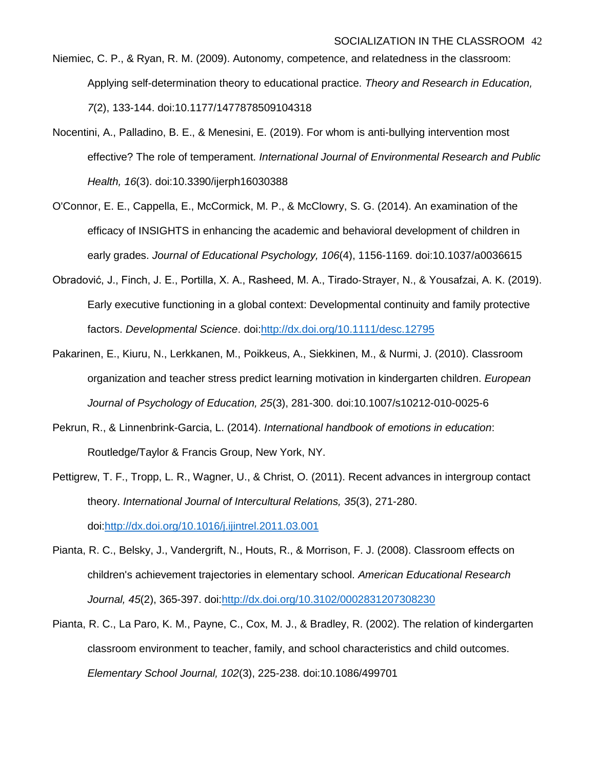- Niemiec, C. P., & Ryan, R. M. (2009). Autonomy, competence, and relatedness in the classroom: Applying self-determination theory to educational practice. *Theory and Research in Education, 7*(2), 133-144. doi:10.1177/1477878509104318
- Nocentini, A., Palladino, B. E., & Menesini, E. (2019). For whom is anti-bullying intervention most effective? The role of temperament. *International Journal of Environmental Research and Public Health, 16*(3). doi:10.3390/ijerph16030388
- O'Connor, E. E., Cappella, E., McCormick, M. P., & McClowry, S. G. (2014). An examination of the efficacy of INSIGHTS in enhancing the academic and behavioral development of children in early grades. *Journal of Educational Psychology, 106*(4), 1156-1169. doi:10.1037/a0036615
- Obradović, J., Finch, J. E., Portilla, X. A., Rasheed, M. A., Tirado‐Strayer, N., & Yousafzai, A. K. (2019). Early executive functioning in a global context: Developmental continuity and family protective factors. *Developmental Science*. doi:http://dx.doi.org/10.1111/desc.12795
- Pakarinen, E., Kiuru, N., Lerkkanen, M., Poikkeus, A., Siekkinen, M., & Nurmi, J. (2010). Classroom organization and teacher stress predict learning motivation in kindergarten children. *European Journal of Psychology of Education, 25*(3), 281-300. doi:10.1007/s10212-010-0025-6
- Pekrun, R., & Linnenbrink-Garcia, L. (2014). *International handbook of emotions in education*: Routledge/Taylor & Francis Group, New York, NY.
- Pettigrew, T. F., Tropp, L. R., Wagner, U., & Christ, O. (2011). Recent advances in intergroup contact theory. *International Journal of Intercultural Relations, 35*(3), 271-280. doi:http://dx.doi.org/10.1016/j.ijintrel.2011.03.001
- Pianta, R. C., Belsky, J., Vandergrift, N., Houts, R., & Morrison, F. J. (2008). Classroom effects on children's achievement trajectories in elementary school. *American Educational Research Journal, 45*(2), 365-397. doi:http://dx.doi.org/10.3102/0002831207308230
- Pianta, R. C., La Paro, K. M., Payne, C., Cox, M. J., & Bradley, R. (2002). The relation of kindergarten classroom environment to teacher, family, and school characteristics and child outcomes. *Elementary School Journal, 102*(3), 225-238. doi:10.1086/499701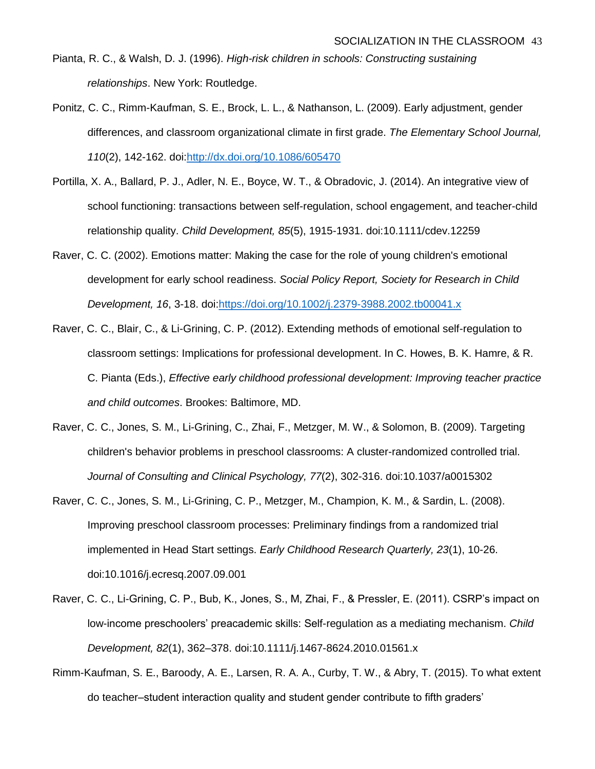- Pianta, R. C., & Walsh, D. J. (1996). *High-risk children in schools: Constructing sustaining relationships*. New York: Routledge.
- Ponitz, C. C., Rimm-Kaufman, S. E., Brock, L. L., & Nathanson, L. (2009). Early adjustment, gender differences, and classroom organizational climate in first grade. *The Elementary School Journal, 110*(2), 142-162. doi:http://dx.doi.org/10.1086/605470
- Portilla, X. A., Ballard, P. J., Adler, N. E., Boyce, W. T., & Obradovic, J. (2014). An integrative view of school functioning: transactions between self-regulation, school engagement, and teacher-child relationship quality. *Child Development, 85*(5), 1915-1931. doi:10.1111/cdev.12259
- Raver, C. C. (2002). Emotions matter: Making the case for the role of young children's emotional development for early school readiness. *Social Policy Report, Society for Research in Child Development, 16*, 3-18. doi:https://doi.org/10.1002/j.2379-3988.2002.tb00041.x
- Raver, C. C., Blair, C., & Li-Grining, C. P. (2012). Extending methods of emotional self-regulation to classroom settings: Implications for professional development. In C. Howes, B. K. Hamre, & R. C. Pianta (Eds.), *Effective early childhood professional development: Improving teacher practice and child outcomes*. Brookes: Baltimore, MD.
- Raver, C. C., Jones, S. M., Li-Grining, C., Zhai, F., Metzger, M. W., & Solomon, B. (2009). Targeting children's behavior problems in preschool classrooms: A cluster-randomized controlled trial. *Journal of Consulting and Clinical Psychology, 77*(2), 302-316. doi:10.1037/a0015302
- Raver, C. C., Jones, S. M., Li-Grining, C. P., Metzger, M., Champion, K. M., & Sardin, L. (2008). Improving preschool classroom processes: Preliminary findings from a randomized trial implemented in Head Start settings. *Early Childhood Research Quarterly, 23*(1), 10-26. doi:10.1016/j.ecresq.2007.09.001
- Raver, C. C., Li-Grining, C. P., Bub, K., Jones, S., M, Zhai, F., & Pressler, E. (2011). CSRP's impact on low-income preschoolers' preacademic skills: Self-regulation as a mediating mechanism. *Child Development, 82*(1), 362–378. doi:10.1111/j.1467-8624.2010.01561.x
- Rimm-Kaufman, S. E., Baroody, A. E., Larsen, R. A. A., Curby, T. W., & Abry, T. (2015). To what extent do teacher–student interaction quality and student gender contribute to fifth graders'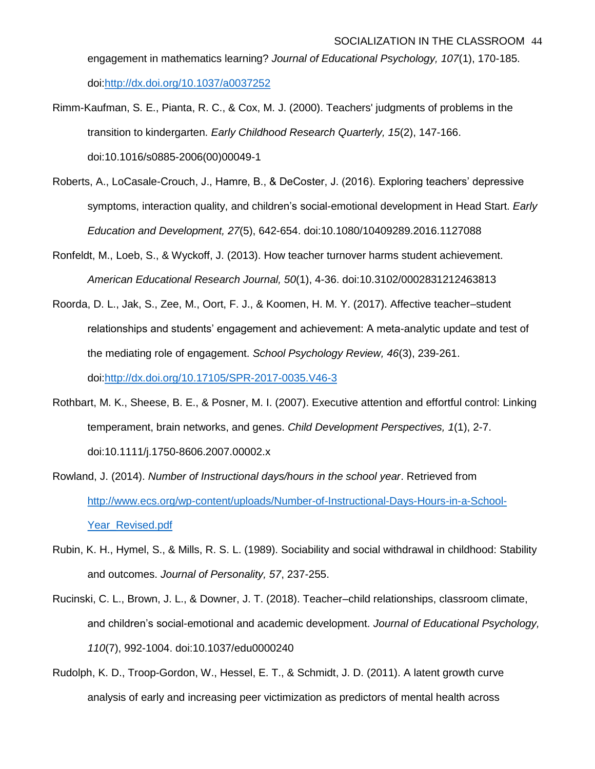engagement in mathematics learning? *Journal of Educational Psychology, 107*(1), 170-185. doi:http://dx.doi.org/10.1037/a0037252

- Rimm-Kaufman, S. E., Pianta, R. C., & Cox, M. J. (2000). Teachers' judgments of problems in the transition to kindergarten. *Early Childhood Research Quarterly, 15*(2), 147-166. doi:10.1016/s0885-2006(00)00049-1
- Roberts, A., LoCasale-Crouch, J., Hamre, B., & DeCoster, J. (2016). Exploring teachers' depressive symptoms, interaction quality, and children's social-emotional development in Head Start. *Early Education and Development, 27*(5), 642-654. doi:10.1080/10409289.2016.1127088
- Ronfeldt, M., Loeb, S., & Wyckoff, J. (2013). How teacher turnover harms student achievement. *American Educational Research Journal, 50*(1), 4-36. doi:10.3102/0002831212463813
- Roorda, D. L., Jak, S., Zee, M., Oort, F. J., & Koomen, H. M. Y. (2017). Affective teacher–student relationships and students' engagement and achievement: A meta-analytic update and test of the mediating role of engagement. *School Psychology Review, 46*(3), 239-261. doi:http://dx.doi.org/10.17105/SPR-2017-0035.V46-3
- Rothbart, M. K., Sheese, B. E., & Posner, M. I. (2007). Executive attention and effortful control: Linking temperament, brain networks, and genes. *Child Development Perspectives, 1*(1), 2-7. doi:10.1111/j.1750-8606.2007.00002.x
- Rowland, J. (2014). *Number of Instructional days/hours in the school year*. Retrieved from http://www.ecs.org/wp-content/uploads/Number-of-Instructional-Days-Hours-in-a-School-Year Revised.pdf
- Rubin, K. H., Hymel, S., & Mills, R. S. L. (1989). Sociability and social withdrawal in childhood: Stability and outcomes. *Journal of Personality, 57*, 237-255.
- Rucinski, C. L., Brown, J. L., & Downer, J. T. (2018). Teacher–child relationships, classroom climate, and children's social-emotional and academic development. *Journal of Educational Psychology, 110*(7), 992-1004. doi:10.1037/edu0000240
- Rudolph, K. D., Troop-Gordon, W., Hessel, E. T., & Schmidt, J. D. (2011). A latent growth curve analysis of early and increasing peer victimization as predictors of mental health across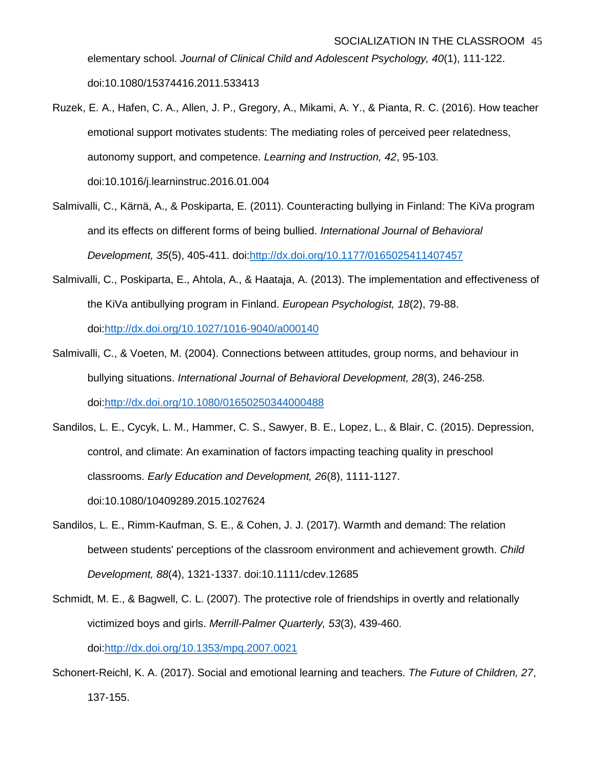elementary school. *Journal of Clinical Child and Adolescent Psychology, 40*(1), 111-122. doi:10.1080/15374416.2011.533413

- Ruzek, E. A., Hafen, C. A., Allen, J. P., Gregory, A., Mikami, A. Y., & Pianta, R. C. (2016). How teacher emotional support motivates students: The mediating roles of perceived peer relatedness, autonomy support, and competence. *Learning and Instruction, 42*, 95-103. doi:10.1016/j.learninstruc.2016.01.004
- Salmivalli, C., Kärnä, A., & Poskiparta, E. (2011). Counteracting bullying in Finland: The KiVa program and its effects on different forms of being bullied. *International Journal of Behavioral Development, 35*(5), 405-411. doi:http://dx.doi.org/10.1177/0165025411407457
- Salmivalli, C., Poskiparta, E., Ahtola, A., & Haataja, A. (2013). The implementation and effectiveness of the KiVa antibullying program in Finland. *European Psychologist, 18*(2), 79-88. doi:http://dx.doi.org/10.1027/1016-9040/a000140
- Salmivalli, C., & Voeten, M. (2004). Connections between attitudes, group norms, and behaviour in bullying situations. *International Journal of Behavioral Development, 28*(3), 246-258. doi:http://dx.doi.org/10.1080/01650250344000488
- Sandilos, L. E., Cycyk, L. M., Hammer, C. S., Sawyer, B. E., Lopez, L., & Blair, C. (2015). Depression, control, and climate: An examination of factors impacting teaching quality in preschool classrooms. *Early Education and Development, 26*(8), 1111-1127. doi:10.1080/10409289.2015.1027624
- Sandilos, L. E., Rimm-Kaufman, S. E., & Cohen, J. J. (2017). Warmth and demand: The relation between students' perceptions of the classroom environment and achievement growth. *Child Development, 88*(4), 1321-1337. doi:10.1111/cdev.12685
- Schmidt, M. E., & Bagwell, C. L. (2007). The protective role of friendships in overtly and relationally victimized boys and girls. *Merrill-Palmer Quarterly, 53*(3), 439-460. doi:http://dx.doi.org/10.1353/mpq.2007.0021
- Schonert-Reichl, K. A. (2017). Social and emotional learning and teachers. *The Future of Children, 27*, 137-155.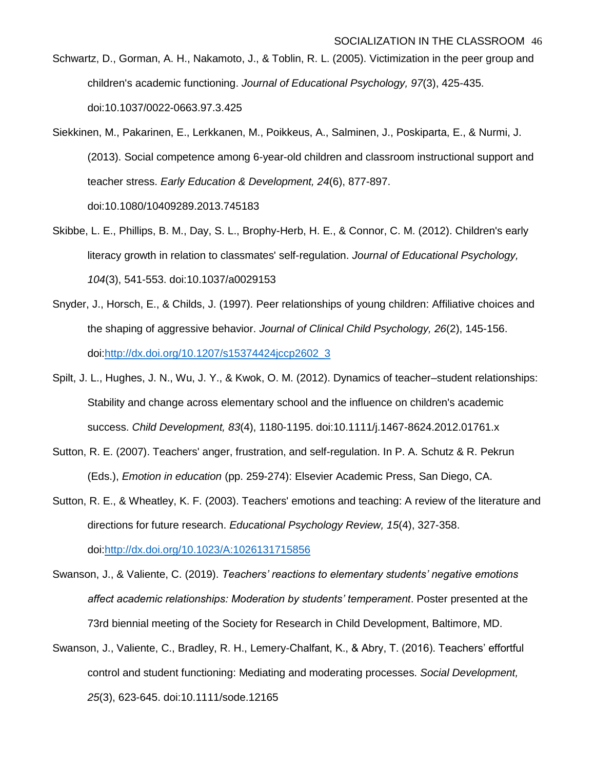- Schwartz, D., Gorman, A. H., Nakamoto, J., & Toblin, R. L. (2005). Victimization in the peer group and children's academic functioning. *Journal of Educational Psychology, 97*(3), 425-435. doi:10.1037/0022-0663.97.3.425
- Siekkinen, M., Pakarinen, E., Lerkkanen, M., Poikkeus, A., Salminen, J., Poskiparta, E., & Nurmi, J. (2013). Social competence among 6-year-old children and classroom instructional support and teacher stress. *Early Education & Development, 24*(6), 877-897. doi:10.1080/10409289.2013.745183
- Skibbe, L. E., Phillips, B. M., Day, S. L., Brophy-Herb, H. E., & Connor, C. M. (2012). Children's early literacy growth in relation to classmates' self-regulation. *Journal of Educational Psychology, 104*(3), 541-553. doi:10.1037/a0029153
- Snyder, J., Horsch, E., & Childs, J. (1997). Peer relationships of young children: Affiliative choices and the shaping of aggressive behavior. *Journal of Clinical Child Psychology, 26*(2), 145-156. doi:http://dx.doi.org/10.1207/s15374424jccp2602\_3
- Spilt, J. L., Hughes, J. N., Wu, J. Y., & Kwok, O. M. (2012). Dynamics of teacher–student relationships: Stability and change across elementary school and the influence on children's academic success. *Child Development, 83*(4), 1180-1195. doi:10.1111/j.1467-8624.2012.01761.x
- Sutton, R. E. (2007). Teachers' anger, frustration, and self-regulation. In P. A. Schutz & R. Pekrun (Eds.), *Emotion in education* (pp. 259-274): Elsevier Academic Press, San Diego, CA.
- Sutton, R. E., & Wheatley, K. F. (2003). Teachers' emotions and teaching: A review of the literature and directions for future research. *Educational Psychology Review, 15*(4), 327-358. doi:http://dx.doi.org/10.1023/A:1026131715856
- Swanson, J., & Valiente, C. (2019). *Teachers' reactions to elementary students' negative emotions affect academic relationships: Moderation by students' temperament*. Poster presented at the 73rd biennial meeting of the Society for Research in Child Development, Baltimore, MD.
- Swanson, J., Valiente, C., Bradley, R. H., Lemery-Chalfant, K., & Abry, T. (2016). Teachers' effortful control and student functioning: Mediating and moderating processes. *Social Development, 25*(3), 623-645. doi:10.1111/sode.12165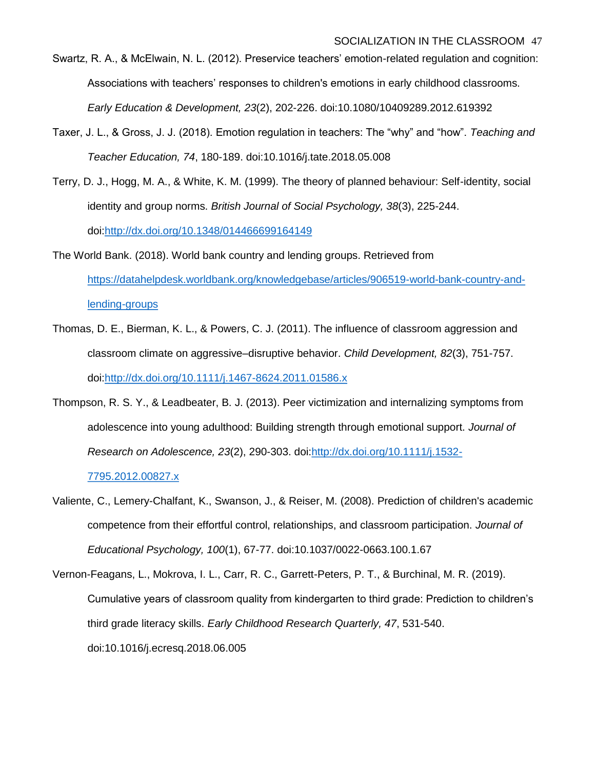- Swartz, R. A., & McElwain, N. L. (2012). Preservice teachers' emotion-related regulation and cognition: Associations with teachers' responses to children's emotions in early childhood classrooms. *Early Education & Development, 23*(2), 202-226. doi:10.1080/10409289.2012.619392
- Taxer, J. L., & Gross, J. J. (2018). Emotion regulation in teachers: The "why" and "how". *Teaching and Teacher Education, 74*, 180-189. doi:10.1016/j.tate.2018.05.008
- Terry, D. J., Hogg, M. A., & White, K. M. (1999). The theory of planned behaviour: Self-identity, social identity and group norms. *British Journal of Social Psychology, 38*(3), 225-244. doi:http://dx.doi.org/10.1348/014466699164149
- The World Bank. (2018). World bank country and lending groups. Retrieved from https://datahelpdesk.worldbank.org/knowledgebase/articles/906519-world-bank-country-andlending-groups
- Thomas, D. E., Bierman, K. L., & Powers, C. J. (2011). The influence of classroom aggression and classroom climate on aggressive–disruptive behavior. *Child Development, 82*(3), 751-757. doi:http://dx.doi.org/10.1111/j.1467-8624.2011.01586.x
- Thompson, R. S. Y., & Leadbeater, B. J. (2013). Peer victimization and internalizing symptoms from adolescence into young adulthood: Building strength through emotional support. *Journal of Research on Adolescence, 23*(2), 290-303. doi:http://dx.doi.org/10.1111/j.1532- 7795.2012.00827.x
- Valiente, C., Lemery-Chalfant, K., Swanson, J., & Reiser, M. (2008). Prediction of children's academic competence from their effortful control, relationships, and classroom participation. *Journal of Educational Psychology, 100*(1), 67-77. doi:10.1037/0022-0663.100.1.67
- Vernon-Feagans, L., Mokrova, I. L., Carr, R. C., Garrett-Peters, P. T., & Burchinal, M. R. (2019). Cumulative years of classroom quality from kindergarten to third grade: Prediction to children's third grade literacy skills. *Early Childhood Research Quarterly, 47*, 531-540. doi:10.1016/j.ecresq.2018.06.005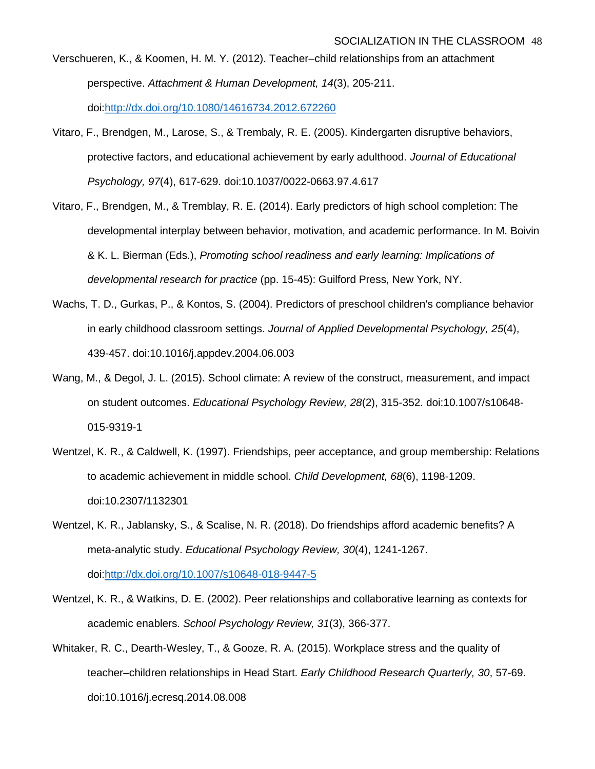- Verschueren, K., & Koomen, H. M. Y. (2012). Teacher–child relationships from an attachment perspective. *Attachment & Human Development, 14*(3), 205-211. doi:http://dx.doi.org/10.1080/14616734.2012.672260
- Vitaro, F., Brendgen, M., Larose, S., & Trembaly, R. E. (2005). Kindergarten disruptive behaviors, protective factors, and educational achievement by early adulthood. *Journal of Educational Psychology, 97*(4), 617-629. doi:10.1037/0022-0663.97.4.617
- Vitaro, F., Brendgen, M., & Tremblay, R. E. (2014). Early predictors of high school completion: The developmental interplay between behavior, motivation, and academic performance. In M. Boivin & K. L. Bierman (Eds.), *Promoting school readiness and early learning: Implications of developmental research for practice* (pp. 15-45): Guilford Press, New York, NY.
- Wachs, T. D., Gurkas, P., & Kontos, S. (2004). Predictors of preschool children's compliance behavior in early childhood classroom settings. *Journal of Applied Developmental Psychology, 25*(4), 439-457. doi:10.1016/j.appdev.2004.06.003
- Wang, M., & Degol, J. L. (2015). School climate: A review of the construct, measurement, and impact on student outcomes. *Educational Psychology Review, 28*(2), 315-352. doi:10.1007/s10648- 015-9319-1
- Wentzel, K. R., & Caldwell, K. (1997). Friendships, peer acceptance, and group membership: Relations to academic achievement in middle school. *Child Development, 68*(6), 1198-1209. doi:10.2307/1132301
- Wentzel, K. R., Jablansky, S., & Scalise, N. R. (2018). Do friendships afford academic benefits? A meta-analytic study. *Educational Psychology Review, 30*(4), 1241-1267. doi:http://dx.doi.org/10.1007/s10648-018-9447-5
- Wentzel, K. R., & Watkins, D. E. (2002). Peer relationships and collaborative learning as contexts for academic enablers. *School Psychology Review, 31*(3), 366-377.
- Whitaker, R. C., Dearth-Wesley, T., & Gooze, R. A. (2015). Workplace stress and the quality of teacher–children relationships in Head Start. *Early Childhood Research Quarterly, 30*, 57-69. doi:10.1016/j.ecresq.2014.08.008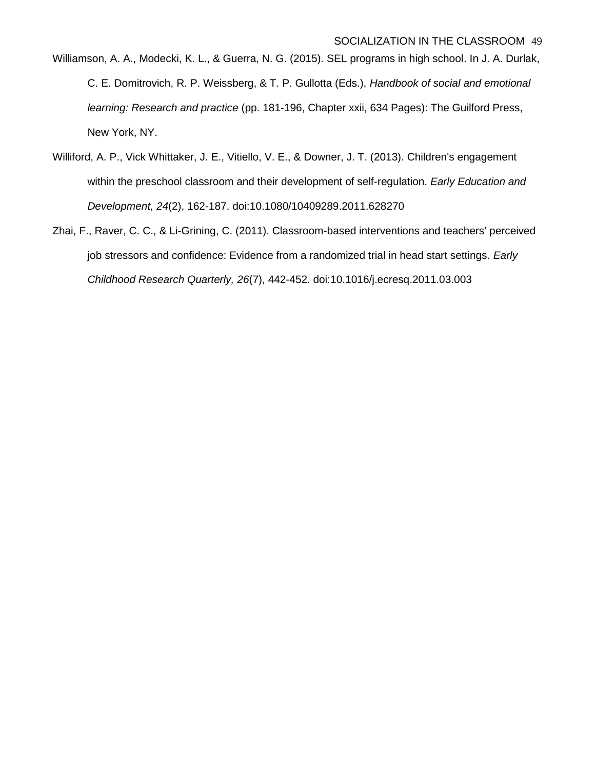- Williamson, A. A., Modecki, K. L., & Guerra, N. G. (2015). SEL programs in high school. In J. A. Durlak, C. E. Domitrovich, R. P. Weissberg, & T. P. Gullotta (Eds.), *Handbook of social and emotional learning: Research and practice* (pp. 181-196, Chapter xxii, 634 Pages): The Guilford Press, New York, NY.
- Williford, A. P., Vick Whittaker, J. E., Vitiello, V. E., & Downer, J. T. (2013). Children's engagement within the preschool classroom and their development of self-regulation. *Early Education and Development, 24*(2), 162-187. doi:10.1080/10409289.2011.628270
- Zhai, F., Raver, C. C., & Li-Grining, C. (2011). Classroom-based interventions and teachers' perceived job stressors and confidence: Evidence from a randomized trial in head start settings. *Early Childhood Research Quarterly, 26*(7), 442-452. doi:10.1016/j.ecresq.2011.03.003